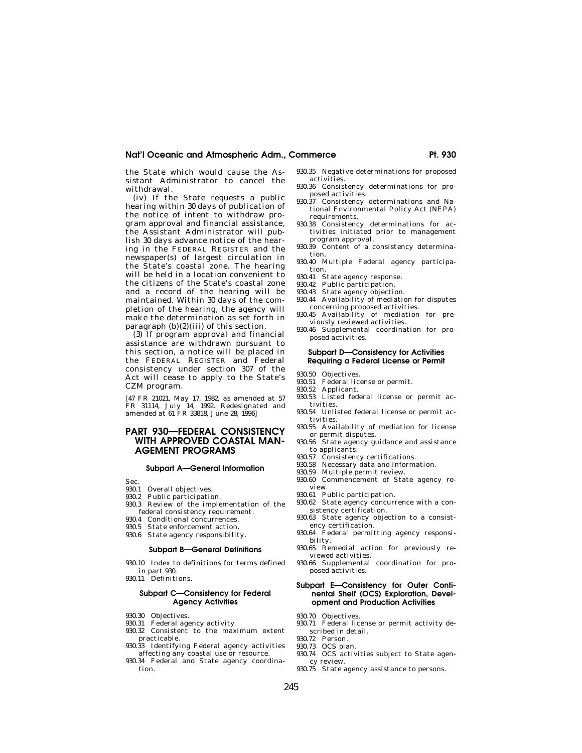the State which would cause the Assistant Administrator to cancel the withdrawal.

(iv) If the State requests a public hearing within 30 days of publication of the notice of intent to withdraw program approval and financial assistance, the Assistant Administrator will publish 30 days advance notice of the hearing in the FEDERAL REGISTER and the newspaper(s) of largest circulation in the State's coastal zone. The hearing will be held in a location convenient to the citizens of the State's coastal zone and a record of the hearing will be maintained. Within 30 days of the completion of the hearing, the agency will make the determination as set forth in paragraph  $(b)(2)(iii)$  of this section.

(3) If program approval and financial assistance are withdrawn pursuant to this section, a notice will be placed in the FEDERAL REGISTER and Federal consistency under section 307 of the Act will cease to apply to the State's CZM program.

[47 FR 21021, May 17, 1982, as amended at 57 FR 31114, July 14, 1992. Redesignated and amended at 61 FR 33818, June 28, 1996]

# **PART 930—FEDERAL CONSISTENCY WITH APPROVED COASTAL MAN-AGEMENT PROGRAMS**

#### **Subpart A—General Information**

Sec.

- 930.1 Overall objectives.<br>930.2 Public participation
- Public participation.
- 930.3 Review of the implementation of the federal consistency requirement.
- 930.4 Conditional concurrences.
- 930.5 State enforcement action.
- 930.6 State agency responsibility.

#### **Subpart B—General Definitions**

- 930.10 Index to definitions for terms defined in part 930.
- 930.11 Definitions.

# **Subpart C—Consistency for Federal Agency Activities**

- 930.30 Objectives.
- 930.31 Federal agency activity.
- 930.32 Consistent to the maximum extent practicable.
- 930.33 Identifying Federal agency activities affecting any coastal use or resource.
- 930.34 Federal and State agency coordination.
- 930.35 Negative determinations for proposed activities.
- 930.36 Consistency determinations for proposed activities. 930.37 Consistency determinations and Na-
- tional Environmental Policy Act (NEPA) requirements.
- 930.38 Consistency determinations for activities initiated prior to management program approval.
- 930.39 Content of a consistency determination.
- 930.40 Multiple Federal agency participation.
- 930.41 State agency response.
- 930.42 Public participation.
- 930.43 State agency objection.
- 930.44 Availability of mediation for disputes concerning proposed activities.
- 930.45 Availability of mediation for previously reviewed activities.
- 930.46 Supplemental coordination for proposed activities.

# **Subpart D—Consistency for Activities Requiring a Federal License or Permit**

- 930.50 Objectives.
- 930.51 Federal license or permit.
- 930.52 Applicant.
- 930.53 Listed federal license or permit activities.
- 930.54 Unlisted federal license or permit activities.
- 930.55 Availability of mediation for license or permit disputes.
- 930.56 State agency guidance and assistance to applicants.
- 930.57 Consistency certifications.
- 930.58 Necessary data and information.
- 930.59 Multiple permit review. 930.60 Commencement of State agency review.
- 930.61 Public participation.
- 930.62 State agency concurrence with a consistency certification.
- 930.63 State agency objection to a consistency certification.
- 930.64 Federal permitting agency responsibility.
- 930.65 Remedial action for previously reviewed activities.
- 930.66 Supplemental coordination for proposed activities.

# **Subpart E—Consistency for Outer Continental Shelf (OCS) Exploration, Development and Production Activities**

- 930.70 Objectives.
- 930.71 Federal license or permit activity described in detail.
- 930.72 Person.
- 930.73 OCS plan.
- 930.74 OCS activities subject to State agency review.
- 930.75 State agency assistance to persons.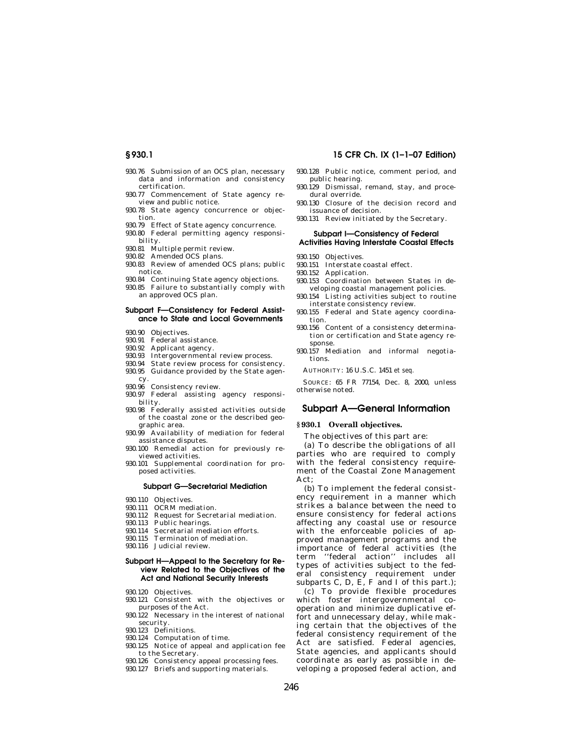- 930.76 Submission of an OCS plan, necessary data and information and consistency certification.
- 930.77 Commencement of State agency review and public notice.
- 930.78 State agency concurrence or objection.
- 930.79 Effect of State agency concurrence.
- 930.80 Federal permitting agency responsibility.
- 930.81 Multiple permit review.
- 930.82 Amended OCS plans.
- 930.83 Review of amended OCS plans; public notice.
- 930.84 Continuing State agency objections.
- 930.85 Failure to substantially comply with an approved OCS plan.

#### **Subpart F—Consistency for Federal Assistance to State and Local Governments**

- 930.90 Objectives.
- 930.91 Federal assistance.
- 930.92 Applicant agency.
- 930.93 Intergovernmental review process.
- 930.94 State review process for consistency.
- 930.95 Guidance provided by the State agency.
- 930.96 Consistency review.
- 930.97 Federal assisting agency responsibility.
- 930.98 Federally assisted activities outside of the coastal zone or the described geographic area.
- 930.99 Availability of mediation for federal assistance disputes.
- 930.100 Remedial action for previously reviewed activities.
- 930.101 Supplemental coordination for proposed activities.

### **Subpart G—Secretarial Mediation**

- 930.110 Objectives.
- 930.111 OCRM mediation.
- 930.112 Request for Secretarial mediation.
- 930.113 Public hearings. 930.114 Secretarial mediation efforts.
- 
- 930.115 Termination of mediation. 930.116 Judicial review.

#### **Subpart H—Appeal to the Secretary for Review Related to the Objectives of the Act and National Security Interests**

- 930.120 Objectives.
- 930.121 Consistent with the objectives or purposes of the Act.
- 930.122 Necessary in the interest of national security.
- 930.123 Definitions.
- 930.124 Computation of time.
- 930.125 Notice of appeal and application fee to the Secretary.
- 930.126 Consistency appeal processing fees.
- 930.127 Briefs and supporting materials.

### **§ 930.1 15 CFR Ch. IX (1–1–07 Edition)**

- 930.128 Public notice, comment period, and public hearing.
- 930.129 Dismissal, remand, stay, and procedural override.
- 930.130 Closure of the decision record and issuance of decision.
- 930.131 Review initiated by the Secretary.

#### **Subpart I—Consistency of Federal Activities Having Interstate Coastal Effects**

- 930.150 Objectives.
- 930.151 Interstate coastal effect.
- 930.152 Application.
- 930.153 Coordination between States in de-
- veloping coastal management policies. 930.154 Listing activities subject to routine
- interstate consistency review.
- 930.155 Federal and State agency coordination.
- 930.156 Content of a consistency determination or certification and State agency response.
- 930.157 Mediation and informal negotiations.

AUTHORITY: 16 U.S.C. 1451 *et seq.* 

SOURCE: 65 FR 77154, Dec. 8, 2000, unless otherwise noted.

# **Subpart A—General Information**

#### **§ 930.1 Overall objectives.**

The objectives of this part are:

(a) To describe the obligations of all parties who are required to comply with the federal consistency requirement of the Coastal Zone Management Act;

(b) To implement the federal consistency requirement in a manner which strikes a balance between the need to ensure consistency for federal actions affecting any coastal use or resource with the enforceable policies of approved management programs and the importance of federal activities (the term ''federal action'' includes all types of activities subject to the federal consistency requirement under subparts  $C$ ,  $D$ ,  $E$ ,  $F$  and I of this part.);

(c) To provide flexible procedures which foster intergovernmental cooperation and minimize duplicative effort and unnecessary delay, while making certain that the objectives of the federal consistency requirement of the Act are satisfied. Federal agencies, State agencies, and applicants should coordinate as early as possible in developing a proposed federal action, and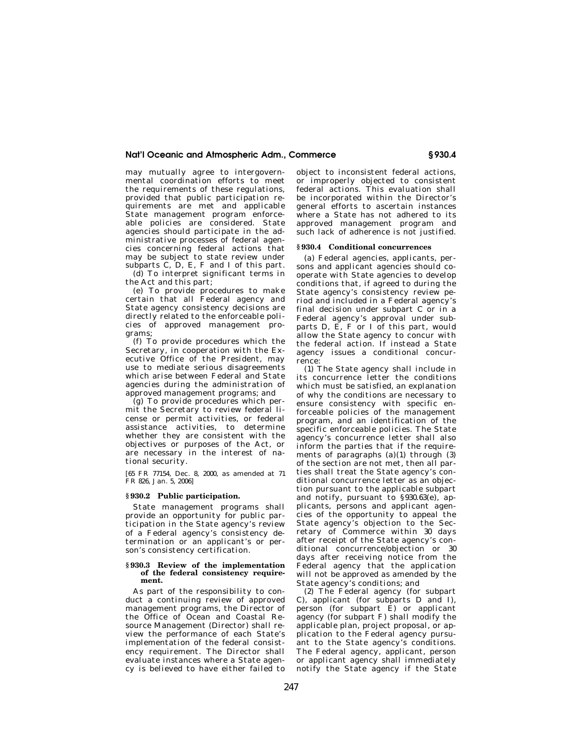may mutually agree to intergovernmental coordination efforts to meet the requirements of these regulations, provided that public participation requirements are met and applicable State management program enforceable policies are considered. State agencies should participate in the administrative processes of federal agencies concerning federal actions that may be subject to state review under subparts C, D, E, F and I of this part.

(d) To interpret significant terms in the Act and this part;

(e) To provide procedures to make certain that all Federal agency and State agency consistency decisions are directly related to the enforceable policies of approved management programs;

(f) To provide procedures which the Secretary, in cooperation with the Executive Office of the President, may use to mediate serious disagreements which arise between Federal and State agencies during the administration of approved management programs; and

(g) To provide procedures which permit the Secretary to review federal license or permit activities, or federal assistance activities, to determine whether they are consistent with the objectives or purposes of the Act, or are necessary in the interest of national security.

[65 FR 77154, Dec. 8, 2000, as amended at 71 FR 826, Jan. 5, 2006]

#### **§ 930.2 Public participation.**

State management programs shall provide an opportunity for public participation in the State agency's review of a Federal agency's consistency determination or an applicant's or person's consistency certification.

#### **§ 930.3 Review of the implementation of the federal consistency requirement.**

As part of the responsibility to conduct a continuing review of approved management programs, the Director of the Office of Ocean and Coastal Resource Management (Director) shall review the performance of each State's implementation of the federal consistency requirement. The Director shall evaluate instances where a State agency is believed to have either failed to

object to inconsistent federal actions, or improperly objected to consistent federal actions. This evaluation shall be incorporated within the Director's general efforts to ascertain instances where a State has not adhered to its approved management program and such lack of adherence is not justified.

#### **§ 930.4 Conditional concurrences**

(a) Federal agencies, applicants, persons and applicant agencies should cooperate with State agencies to develop conditions that, if agreed to during the State agency's consistency review period and included in a Federal agency's final decision under subpart C or in a Federal agency's approval under subparts D, E, F or I of this part, would allow the State agency to concur with the federal action. If instead a State agency issues a conditional concurrence:

(1) The State agency shall include in its concurrence letter the conditions which must be satisfied, an explanation of why the conditions are necessary to ensure consistency with specific enforceable policies of the management program, and an identification of the specific enforceable policies. The State agency's concurrence letter shall also inform the parties that if the requirements of paragraphs (a)(1) through (3) of the section are not met, then all parties shall treat the State agency's conditional concurrence letter as an objection pursuant to the applicable subpart and notify, pursuant to §930.63(e), applicants, persons and applicant agencies of the opportunity to appeal the State agency's objection to the Secretary of Commerce within 30 days after receipt of the State agency's conditional concurrence/objection or 30 days after receiving notice from the Federal agency that the application will not be approved as amended by the State agency's conditions; and

(2) The Federal agency (for subpart C), applicant (for subparts D and I), person (for subpart  $\overline{E}$ ) or applicant agency (for subpart F) shall modify the applicable plan, project proposal, or application to the Federal agency pursuant to the State agency's conditions. The Federal agency, applicant, person or applicant agency shall immediately notify the State agency if the State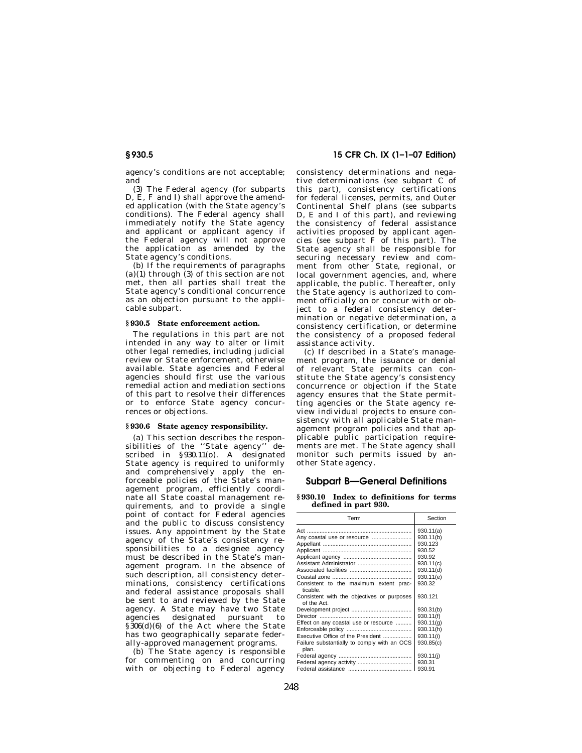agency's conditions are not acceptable; and

(3) The Federal agency (for subparts D, E, F and I) shall approve the amended application (with the State agency's conditions). The Federal agency shall immediately notify the State agency and applicant or applicant agency if the Federal agency will not approve the application as amended by the State agency's conditions.

(b) If the requirements of paragraphs (a)(1) through (3) of this section are not met, then all parties shall treat the State agency's conditional concurrence as an objection pursuant to the applicable subpart.

#### **§ 930.5 State enforcement action.**

The regulations in this part are not intended in any way to alter or limit other legal remedies, including judicial review or State enforcement, otherwise available. State agencies and Federal agencies should first use the various remedial action and mediation sections of this part to resolve their differences or to enforce State agency concurrences or objections.

#### **§ 930.6 State agency responsibility.**

(a) This section describes the responsibilities of the ''State agency'' described in §930.11(o). A designated State agency is required to uniformly and comprehensively apply the enforceable policies of the State's management program, efficiently coordinate all State coastal management requirements, and to provide a single point of contact for Federal agencies and the public to discuss consistency issues. Any appointment by the State agency of the State's consistency responsibilities to a designee agency must be described in the State's management program. In the absence of such description, all consistency determinations, consistency certifications and federal assistance proposals shall be sent to and reviewed by the State agency. A State may have two State agencies designated pursuant to §306(d)(6) of the Act where the State has two geographically separate federally-approved management programs.

(b) The State agency is responsible for commenting on and concurring with or objecting to Federal agency

# **§ 930.5 15 CFR Ch. IX (1–1–07 Edition)**

consistency determinations and negative determinations (*see* subpart C of this part), consistency certifications for federal licenses, permits, and Outer Continental Shelf plans (*see* subparts D, E and I of this part), and reviewing the consistency of federal assistance activities proposed by applicant agencies (*see* subpart F of this part). The State agency shall be responsible for securing necessary review and comment from other State, regional, or local government agencies, and, where applicable, the public. Thereafter, only the State agency is authorized to comment officially on or concur with or object to a federal consistency determination or negative determination, a consistency certification, or determine the consistency of a proposed federal assistance activity.

(c) If described in a State's management program, the issuance or denial of relevant State permits can constitute the State agency's consistency concurrence or objection if the State agency ensures that the State permitting agencies or the State agency review individual projects to ensure consistency with all applicable State management program policies and that applicable public participation requirements are met. The State agency shall monitor such permits issued by another State agency.

# **Subpart B—General Definitions**

**§ 930.10 Index to definitions for terms defined in part 930.** 

| Term                                                                                                                               | Section                                                 |
|------------------------------------------------------------------------------------------------------------------------------------|---------------------------------------------------------|
| Any coastal use or resource                                                                                                        | 930.11(a)<br>930.11(b)<br>930.123<br>930.52             |
| Consistent to the maximum extent prac-                                                                                             | 930.92<br>930.11(c)<br>930.11(d)<br>930.11(e)<br>930.32 |
| ticable<br>Consistent with the objectives or purposes<br>of the Act                                                                | 930.121<br>930.31(b)<br>930.11(f)                       |
| Effect on any coastal use or resource<br>Executive Office of the President<br>Failure substantially to comply with an OCS<br>plan. | 930.11(q)<br>930.11(h)<br>930.11(i)<br>930.85(c)        |
| Federal agency activity                                                                                                            | 930.11(i)<br>930.31<br>930.91                           |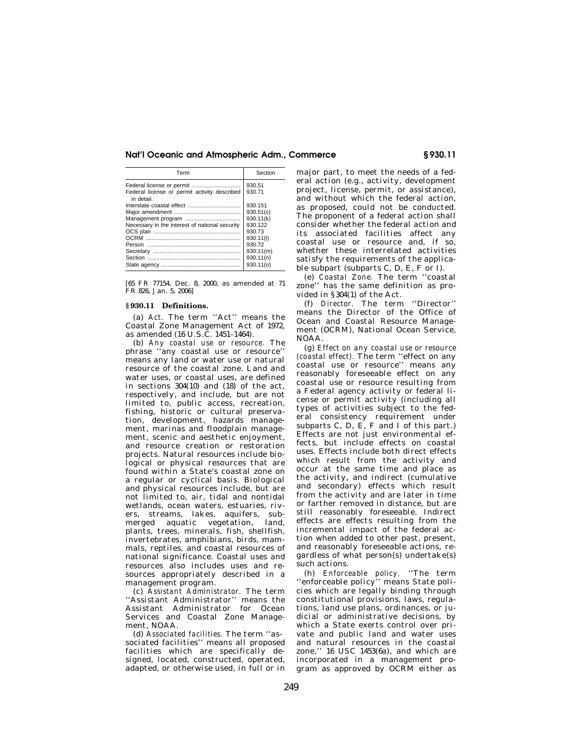| Term                                                       | Section   |
|------------------------------------------------------------|-----------|
|                                                            | 930.51    |
| Federal license or permit activity described<br>in detail. | 930.71    |
|                                                            | 930.151   |
|                                                            | 930.51(c) |
|                                                            | 930.11(k) |
| Necessary in the interest of national security             | 930.122   |
|                                                            | 930.73    |
|                                                            | 930.11(l) |
|                                                            | 930.72    |
|                                                            | 930.11(m) |
|                                                            | 930.11(n) |
|                                                            | 930.11(0) |

[65 FR 77154, Dec. 8, 2000, as amended at 71 FR 826, Jan. 5, 2006]

#### **§ 930.11 Definitions.**

(a) *Act.* The term ''Act'' means the Coastal Zone Management Act of 1972, as amended (16 U.S.C. 1451–1464).

(b) *Any coastal use or resource.* The phrase ''any coastal use or resource'' means any land or water use or natural resource of the coastal zone. Land and water uses, or coastal uses, are defined in sections 304(10) and (18) of the act, respectively, and include, but are not limited to, public access, recreation, fishing, historic or cultural preservation, development, hazards management, marinas and floodplain management, scenic and aesthetic enjoyment, and resource creation or restoration projects. Natural resources include biological or physical resources that are found within a State's coastal zone on a regular or cyclical basis. Biological and physical resources include, but are not limited to, air, tidal and nontidal wetlands, ocean waters, estuaries, rivers, streams, lakes, aquifers, submerged aquatic vegetation, land, plants, trees, minerals, fish, shellfish, invertebrates, amphibians, birds, mammals, reptiles, and coastal resources of national significance. Coastal uses and resources also includes uses and resources appropriately described in a management program.

(c) *Assistant Administrator.* The term ''Assistant Administrator'' means the Assistant Administrator for Ocean Services and Coastal Zone Management, NOAA.

(d) *Associated facilities.* The term ''associated facilities'' means all proposed facilities which are specifically designed, located, constructed, operated, adapted, or otherwise used, in full or in major part, to meet the needs of a federal action (e.g., activity, development project, license, permit, or assistance), and without which the federal action, as proposed, could not be conducted. The proponent of a federal action shall consider whether the federal action and its associated facilities affect any coastal use or resource and, if so, whether these interrelated activities satisfy the requirements of the applicable subpart (subparts C, D, E, F or I).

(e) *Coastal Zone.* The term ''coastal zone'' has the same definition as provided in §304(1) of the Act.

(f) *Director.* The term ''Director'' means the Director of the Office of Ocean and Coastal Resource Management (OCRM), National Ocean Service, NOAA.

(g) *Effect on any coastal use or resource (coastal effect).* The term ''effect on any coastal use or resource'' means any reasonably foreseeable effect on any coastal use or resource resulting from a Federal agency activity or federal license or permit activity (including all types of activities subject to the federal consistency requirement under subparts C, D, E, F and I of this part.) Effects are not just environmental effects, but include effects on coastal uses. Effects include both direct effects which result from the activity and occur at the same time and place as the activity, and indirect (cumulative and secondary) effects which result from the activity and are later in time or farther removed in distance, but are still reasonably foreseeable. Indirect effects are effects resulting from the incremental impact of the federal action when added to other past, present, and reasonably foreseeable actions, regardless of what person(s) undertake(s) such actions.

(h) *Enforceable policy.* ''The term ''enforceable policy'' means State policies which are legally binding through constitutional provisions, laws, regulations, land use plans, ordinances, or judicial or administrative decisions, by which a State exerts control over private and public land and water uses and natural resources in the coastal zone,'' 16 USC 1453(6a), and which are incorporated in a management program as approved by OCRM either as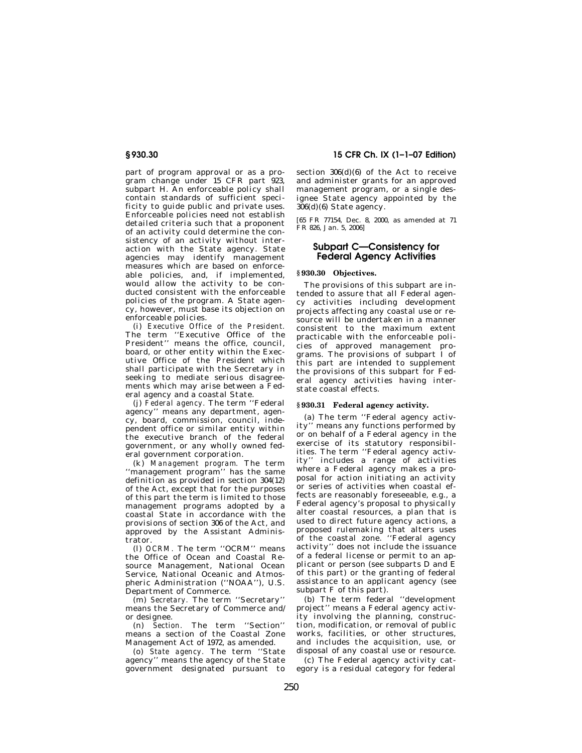part of program approval or as a program change under 15 CFR part 923, subpart H. An enforceable policy shall contain standards of sufficient specificity to guide public and private uses. Enforceable policies need not establish detailed criteria such that a proponent of an activity could determine the consistency of an activity without interaction with the State agency. State agencies may identify management measures which are based on enforceable policies, and, if implemented, would allow the activity to be conducted consistent with the enforceable policies of the program. A State agency, however, must base its objection on enforceable policies.

(i) *Executive Office of the President.*  The term ''Executive Office of the President'' means the office, council, board, or other entity within the Executive Office of the President which shall participate with the Secretary in seeking to mediate serious disagreements which may arise between a Federal agency and a coastal State.

(j) *Federal agency.* The term ''Federal agency'' means any department, agency, board, commission, council, independent office or similar entity within the executive branch of the federal government, or any wholly owned federal government corporation.

(k) *Management program.* The term ''management program'' has the same definition as provided in section 304(12) of the Act, except that for the purposes of this part the term is limited to those management programs adopted by a coastal State in accordance with the provisions of section 306 of the Act, and approved by the Assistant Administrator.

(l) *OCRM.* The term ''OCRM'' means the Office of Ocean and Coastal Resource Management, National Ocean Service, National Oceanic and Atmospheric Administration (''NOAA''), U.S. Department of Commerce.

(m) *Secretary.* The term ''Secretary'' means the Secretary of Commerce and/ or designee.

(n) *Section.* The term ''Section'' means a section of the Coastal Zone Management Act of 1972, as amended.

(o) *State agency.* The term ''State agency'' means the agency of the State government designated pursuant to

**§ 930.30 15 CFR Ch. IX (1–1–07 Edition)** 

section  $306(d)(6)$  of the Act to receive and administer grants for an approved management program, or a single designee State agency appointed by the 306(d)(6) State agency.

[65 FR 77154, Dec. 8, 2000, as amended at 71 FR 826, Jan. 5, 2006]

# **Subpart C—Consistency for Federal Agency Activities**

# **§ 930.30 Objectives.**

The provisions of this subpart are intended to assure that all Federal agency activities including development projects affecting any coastal use or resource will be undertaken in a manner consistent to the maximum extent practicable with the enforceable policies of approved management programs. The provisions of subpart I of this part are intended to supplement the provisions of this subpart for Federal agency activities having interstate coastal effects.

#### **§ 930.31 Federal agency activity.**

(a) The term ''Federal agency activity'' means any functions performed by or on behalf of a Federal agency in the exercise of its statutory responsibilities. The term ''Federal agency activity'' includes a range of activities where a Federal agency makes a proposal for action initiating an activity or series of activities when coastal effects are reasonably foreseeable, e.g., a Federal agency's proposal to physically alter coastal resources, a plan that is used to direct future agency actions, a proposed rulemaking that alters uses of the coastal zone. ''Federal agency activity'' does not include the issuance of a federal license or permit to an applicant or person (see subparts D and E of this part) or the granting of federal assistance to an applicant agency (see subpart F of this part).

(b) The term federal ''development project'' means a Federal agency activity involving the planning, construction, modification, or removal of public works, facilities, or other structures, and includes the acquisition, use, or disposal of any coastal use or resource.

(c) The Federal agency activity category is a residual category for federal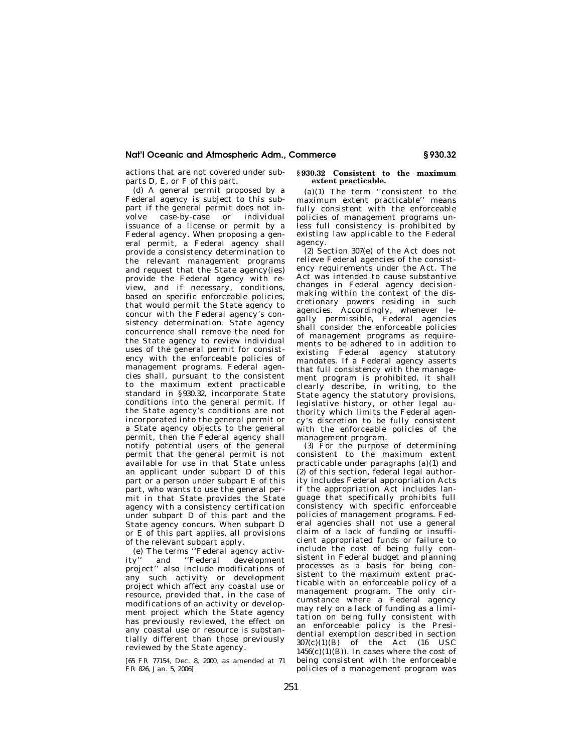actions that are not covered under subparts D, E, or F of this part.

(d) A general permit proposed by a Federal agency is subject to this subpart if the general permit does not involve case-by-case or individual issuance of a license or permit by a Federal agency. When proposing a general permit, a Federal agency shall provide a consistency determination to the relevant management programs and request that the State agency(ies) provide the Federal agency with review, and if necessary, conditions, based on specific enforceable policies, that would permit the State agency to concur with the Federal agency's consistency determination. State agency concurrence shall remove the need for the State agency to review individual uses of the general permit for consistency with the enforceable policies of management programs. Federal agencies shall, pursuant to the consistent to the maximum extent practicable standard in §930.32, incorporate State conditions into the general permit. If the State agency's conditions are not incorporated into the general permit or a State agency objects to the general permit, then the Federal agency shall notify potential users of the general permit that the general permit is not available for use in that State unless an applicant under subpart D of this part or a person under subpart E of this part, who wants to use the general permit in that State provides the State agency with a consistency certification under subpart D of this part and the State agency concurs. When subpart D or E of this part applies, all provisions of the relevant subpart apply.

(e) The terms ''Federal agency activity'' and ''Federal development project'' also include modifications of any such activity or development project which affect any coastal use or resource, provided that, in the case of modifications of an activity or development project which the State agency has previously reviewed, the effect on any coastal use or resource is substantially different than those previously reviewed by the State agency.

[65 FR 77154, Dec. 8, 2000, as amended at 71 FR 826, Jan. 5, 2006]

#### **§ 930.32 Consistent to the maximum extent practicable.**

(a)(1) The term ''consistent to the maximum extent practicable'' means fully consistent with the enforceable policies of management programs unless full consistency is prohibited by existing law applicable to the Federal agency.

(2) Section 307(e) of the Act does not relieve Federal agencies of the consistency requirements under the Act. The Act was intended to cause substantive changes in Federal agency decisionmaking within the context of the discretionary powers residing in such agencies. Accordingly, whenever legally permissible, Federal agencies shall consider the enforceable policies of management programs as requirements to be adhered to in addition to existing Federal agency statutory mandates. If a Federal agency asserts that full consistency with the management program is prohibited, it shall clearly describe, in writing, to the State agency the statutory provisions, legislative history, or other legal authority which limits the Federal agency's discretion to be fully consistent with the enforceable policies of the management program.

(3) For the purpose of determining consistent to the maximum extent practicable under paragraphs (a)(1) and (2) of this section, federal legal authority includes Federal appropriation Acts if the appropriation Act includes language that specifically prohibits full consistency with specific enforceable policies of management programs. Federal agencies shall not use a general claim of a lack of funding or insufficient appropriated funds or failure to include the cost of being fully consistent in Federal budget and planning processes as a basis for being consistent to the maximum extent practicable with an enforceable policy of a management program. The only circumstance where a Federal agency may rely on a lack of funding as a limitation on being fully consistent with an enforceable policy is the Presidential exemption described in section  $307(c)(1)(B)$  of the Act  $(16 \text{ USC})$  $1456(c)(1)(B)$ . In cases where the cost of being consistent with the enforceable policies of a management program was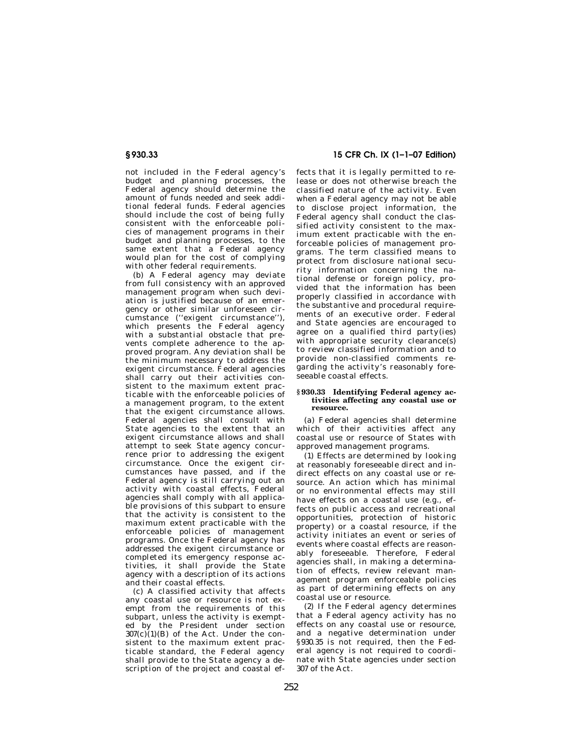not included in the Federal agency's budget and planning processes, the Federal agency should determine the amount of funds needed and seek additional federal funds. Federal agencies should include the cost of being fully consistent with the enforceable policies of management programs in their budget and planning processes, to the same extent that a Federal agency would plan for the cost of complying with other federal requirements.

(b) A Federal agency may deviate from full consistency with an approved management program when such deviation is justified because of an emergency or other similar unforeseen circumstance (''exigent circumstance''), which presents the Federal agency with a substantial obstacle that prevents complete adherence to the approved program. Any deviation shall be the minimum necessary to address the exigent circumstance. Federal agencies shall carry out their activities consistent to the maximum extent practicable with the enforceable policies of a management program, to the extent that the exigent circumstance allows. Federal agencies shall consult with State agencies to the extent that an exigent circumstance allows and shall attempt to seek State agency concurrence prior to addressing the exigent circumstance. Once the exigent circumstances have passed, and if the Federal agency is still carrying out an activity with coastal effects, Federal agencies shall comply with all applicable provisions of this subpart to ensure that the activity is consistent to the maximum extent practicable with the enforceable policies of management programs. Once the Federal agency has addressed the exigent circumstance or completed its emergency response activities, it shall provide the State agency with a description of its actions and their coastal effects.

(c) A classified activity that affects any coastal use or resource is not exempt from the requirements of this subpart, unless the activity is exempted by the President under section  $307(c)(1)(B)$  of the Act. Under the consistent to the maximum extent practicable standard, the Federal agency shall provide to the State agency a description of the project and coastal ef-

# **§ 930.33 15 CFR Ch. IX (1–1–07 Edition)**

fects that it is legally permitted to release or does not otherwise breach the classified nature of the activity. Even when a Federal agency may not be able to disclose project information, the Federal agency shall conduct the classified activity consistent to the maximum extent practicable with the enforceable policies of management programs. The term classified means to protect from disclosure national security information concerning the national defense or foreign policy, provided that the information has been properly classified in accordance with the substantive and procedural requirements of an executive order. Federal and State agencies are encouraged to agree on a qualified third party(ies) with appropriate security clearance(s) to review classified information and to provide non-classified comments regarding the activity's reasonably foreseeable coastal effects.

#### **§ 930.33 Identifying Federal agency activities affecting any coastal use or resource.**

(a) Federal agencies shall determine which of their activities affect any coastal use or resource of States with approved management programs.

(1) Effects are determined by looking at reasonably foreseeable direct and indirect effects on any coastal use or resource. An action which has minimal or no environmental effects may still have effects on a coastal use (e.g., effects on public access and recreational opportunities, protection of historic property) or a coastal resource, if the activity initiates an event or series of events where coastal effects are reasonably foreseeable. Therefore, Federal agencies shall, in making a determination of effects, review relevant management program enforceable policies as part of determining effects on any coastal use or resource.

(2) If the Federal agency determines that a Federal agency activity has no effects on any coastal use or resource, and a negative determination under §930.35 is not required, then the Federal agency is not required to coordinate with State agencies under section 307 of the Act.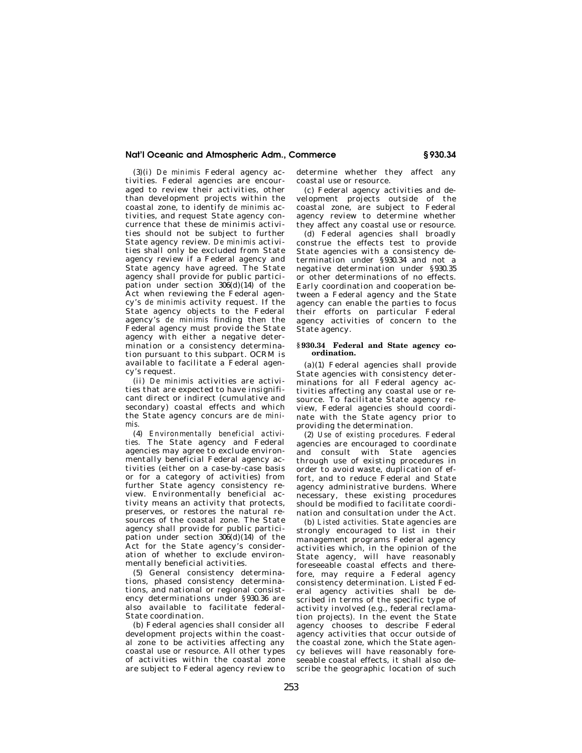(3)(i) *De minimis* Federal agency activities. Federal agencies are encouraged to review their activities, other than development projects within the coastal zone, to identify *de minimis* activities, and request State agency concurrence that these de minimis activities should not be subject to further State agency review. *De minimis* activities shall only be excluded from State agency review if a Federal agency and State agency have agreed. The State agency shall provide for public participation under section  $306(d)(14)$  of the Act when reviewing the Federal agency's *de minimis* activity request. If the State agency objects to the Federal agency's *de minimis* finding then the Federal agency must provide the State agency with either a negative determination or a consistency determination pursuant to this subpart. OCRM is available to facilitate a Federal agency's request.

(ii) *De minimis* activities are activities that are expected to have insignificant direct or indirect (cumulative and secondary) coastal effects and which the State agency concurs are *de minimis.* 

(4) *Environmentally beneficial activities.* The State agency and Federal agencies may agree to exclude environmentally beneficial Federal agency activities (either on a case-by-case basis or for a category of activities) from further State agency consistency review. Environmentally beneficial activity means an activity that protects, preserves, or restores the natural resources of the coastal zone. The State agency shall provide for public participation under section  $306(d)(14)$  of the Act for the State agency's consideration of whether to exclude environmentally beneficial activities.

(5) General consistency determinations, phased consistency determinations, and national or regional consistency determinations under §930.36 are also available to facilitate federal-State coordination.

(b) Federal agencies shall consider all development projects within the coastal zone to be activities affecting any coastal use or resource. All other types of activities within the coastal zone are subject to Federal agency review to determine whether they affect any coastal use or resource.

(c) Federal agency activities and development projects outside of the coastal zone, are subject to Federal agency review to determine whether they affect any coastal use or resource.

(d) Federal agencies shall broadly construe the effects test to provide State agencies with a consistency determination under §930.34 and not a negative determination under §930.35 or other determinations of no effects. Early coordination and cooperation between a Federal agency and the State agency can enable the parties to focus their efforts on particular Federal agency activities of concern to the State agency.

#### **§ 930.34 Federal and State agency coordination.**

(a)(1) Federal agencies shall provide State agencies with consistency determinations for all Federal agency activities affecting any coastal use or resource. To facilitate State agency review, Federal agencies should coordinate with the State agency prior to providing the determination.

(2) *Use of existing procedures.* Federal agencies are encouraged to coordinate and consult with State agencies through use of existing procedures in order to avoid waste, duplication of effort, and to reduce Federal and State agency administrative burdens. Where necessary, these existing procedures should be modified to facilitate coordination and consultation under the Act.

(b) *Listed activities.* State agencies are strongly encouraged to list in their management programs Federal agency activities which, in the opinion of the State agency, will have reasonably foreseeable coastal effects and therefore, may require a Federal agency consistency determination. Listed Federal agency activities shall be described in terms of the specific type of activity involved (e.g., federal reclamation projects). In the event the State agency chooses to describe Federal agency activities that occur outside of the coastal zone, which the State agency believes will have reasonably foreseeable coastal effects, it shall also describe the geographic location of such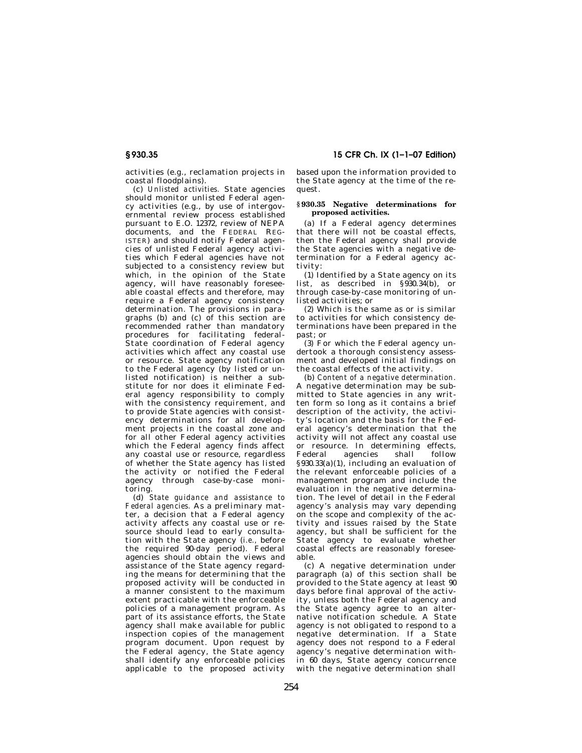activities (e.g., reclamation projects in coastal floodplains).

(c) *Unlisted activities.* State agencies should monitor unlisted Federal agency activities (e.g., by use of intergovernmental review process established pursuant to E.O. 12372, review of NEPA documents, and the FEDERAL REG-ISTER) and should notify Federal agencies of unlisted Federal agency activities which Federal agencies have not subjected to a consistency review but which, in the opinion of the State agency, will have reasonably foreseeable coastal effects and therefore, may require a Federal agency consistency determination. The provisions in paragraphs (b) and (c) of this section are recommended rather than mandatory procedures for facilitating federal-State coordination of Federal agency activities which affect any coastal use or resource. State agency notification to the Federal agency (by listed or unlisted notification) is neither a substitute for nor does it eliminate Federal agency responsibility to comply with the consistency requirement, and to provide State agencies with consistency determinations for all development projects in the coastal zone and for all other Federal agency activities which the Federal agency finds affect any coastal use or resource, regardless of whether the State agency has listed the activity or notified the Federal agency through case-by-case monitoring.

(d) *State guidance and assistance to Federal agencies.* As a preliminary matter, a decision that a Federal agency activity affects any coastal use or resource should lead to early consultation with the State agency (*i.e.,* before the required 90-day period). Federal agencies should obtain the views and assistance of the State agency regarding the means for determining that the proposed activity will be conducted in a manner consistent to the maximum extent practicable with the enforceable policies of a management program. As part of its assistance efforts, the State agency shall make available for public inspection copies of the management program document. Upon request by the Federal agency, the State agency shall identify any enforceable policies applicable to the proposed activity

# **§ 930.35 15 CFR Ch. IX (1–1–07 Edition)**

based upon the information provided to the State agency at the time of the request.

#### **§ 930.35 Negative determinations for proposed activities.**

(a) If a Federal agency determines that there will not be coastal effects, then the Federal agency shall provide the State agencies with a negative determination for a Federal agency activity:

(1) Identified by a State agency on its list, as described in §930.34(b), or through case-by-case monitoring of unlisted activities; or

(2) Which is the same as or is similar to activities for which consistency determinations have been prepared in the past; or

(3) For which the Federal agency undertook a thorough consistency assessment and developed initial findings on the coastal effects of the activity.

(b) *Content of a negative determination.*  A negative determination may be submitted to State agencies in any written form so long as it contains a brief description of the activity, the activity's location and the basis for the Federal agency's determination that the activity will not affect any coastal use or resource. In determining effects,<br>Federal agencies shall follow agencies §930.33(a)(1), including an evaluation of the relevant enforceable policies of a management program and include the evaluation in the negative determination. The level of detail in the Federal agency's analysis may vary depending on the scope and complexity of the activity and issues raised by the State agency, but shall be sufficient for the State agency to evaluate whether coastal effects are reasonably foreseeable.

(c) A negative determination under paragraph (a) of this section shall be provided to the State agency at least 90 days before final approval of the activity, unless both the Federal agency and the State agency agree to an alternative notification schedule. A State agency is not obligated to respond to a negative determination. If a State agency does not respond to a Federal agency's negative determination within 60 days, State agency concurrence with the negative determination shall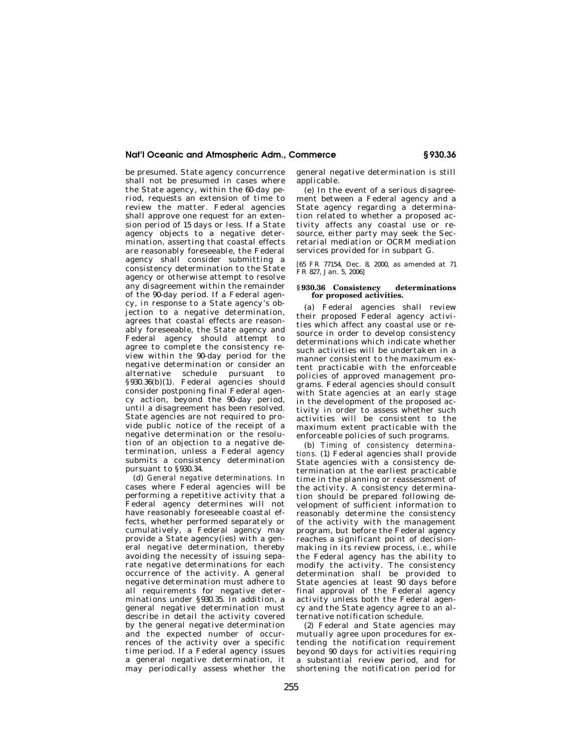be presumed. State agency concurrence shall not be presumed in cases where the State agency, within the 60-day period, requests an extension of time to review the matter. Federal agencies shall approve one request for an extension period of 15 days or less. If a State agency objects to a negative determination, asserting that coastal effects are reasonably foreseeable, the Federal agency shall consider submitting a consistency determination to the State agency or otherwise attempt to resolve any disagreement within the remainder of the 90-day period. If a Federal agency, in response to a State agency's objection to a negative determination, agrees that coastal effects are reasonably foreseeable, the State agency and Federal agency should attempt to agree to complete the consistency review within the 90-day period for the negative determination or consider an alternative schedule pursuant to §930.36(b)(1). Federal agencies should consider postponing final Federal agency action, beyond the 90-day period, until a disagreement has been resolved. State agencies are not required to provide public notice of the receipt of a negative determination or the resolution of an objection to a negative determination, unless a Federal agency submits a consistency determination pursuant to §930.34.

(d) *General negative determinations.* In cases where Federal agencies will be performing a repetitive activity that a Federal agency determines will not have reasonably foreseeable coastal effects, whether performed separately or cumulatively, a Federal agency may provide a State agency(ies) with a general negative determination, thereby avoiding the necessity of issuing separate negative determinations for each occurrence of the activity. A general negative determination must adhere to all requirements for negative determinations under §930.35. In addition, a general negative determination must describe in detail the activity covered by the general negative determination and the expected number of occurrences of the activity over a specific time period. If a Federal agency issues a general negative determination, it may periodically assess whether the

general negative determination is still applicable.

(e) In the event of a serious disagreement between a Federal agency and a State agency regarding a determination related to whether a proposed activity affects any coastal use or resource, either party may seek the Secretarial mediation or OCRM mediation services provided for in subpart G.

[65 FR 77154, Dec. 8, 2000, as amended at 71 FR 827, Jan. 5, 2006]

#### **§ 930.36 Consistency determinations for proposed activities.**

(a) Federal agencies shall review their proposed Federal agency activities which affect any coastal use or resource in order to develop consistency determinations which indicate whether such activities will be undertaken in a manner consistent to the maximum extent practicable with the enforceable policies of approved management programs. Federal agencies should consult with State agencies at an early stage in the development of the proposed activity in order to assess whether such activities will be consistent to the maximum extent practicable with the enforceable policies of such programs.

(b) *Timing of consistency determinations.* (1) Federal agencies shall provide State agencies with a consistency determination at the earliest practicable time in the planning or reassessment of the activity. A consistency determination should be prepared following development of sufficient information to reasonably determine the consistency of the activity with the management program, but before the Federal agency reaches a significant point of decisionmaking in its review process, *i.e.*, while the Federal agency has the ability to modify the activity. The consistency determination shall be provided to State agencies at least 90 days before final approval of the Federal agency activity unless both the Federal agency and the State agency agree to an alternative notification schedule.

(2) Federal and State agencies may mutually agree upon procedures for extending the notification requirement beyond 90 days for activities requiring a substantial review period, and for shortening the notification period for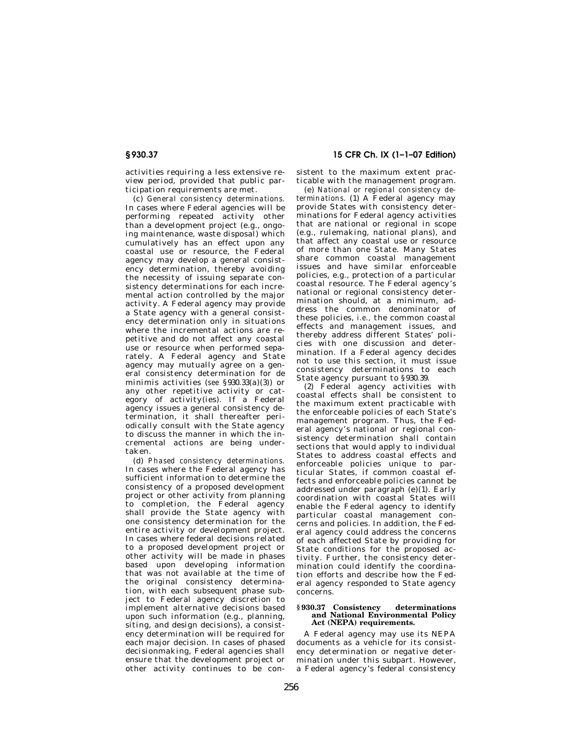activities requiring a less extensive review period, provided that public participation requirements are met.

(c) *General consistency determinations.*  In cases where Federal agencies will be performing repeated activity other than a development project (e.g., ongoing maintenance, waste disposal) which cumulatively has an effect upon any coastal use or resource, the Federal agency may develop a general consistency determination, thereby avoiding the necessity of issuing separate consistency determinations for each incremental action controlled by the major activity. A Federal agency may provide a State agency with a general consistency determination only in situations where the incremental actions are repetitive and do not affect any coastal use or resource when performed separately. A Federal agency and State agency may mutually agree on a general consistency determination for de minimis activities (*see* §930.33(a)(3)) or any other repetitive activity or category of activity(ies). If a Federal agency issues a general consistency determination, it shall thereafter periodically consult with the State agency to discuss the manner in which the incremental actions are being undertaken.

(d) *Phased consistency determinations.*  In cases where the Federal agency has sufficient information to determine the consistency of a proposed development project or other activity from planning to completion, the Federal agency shall provide the State agency with one consistency determination for the entire activity or development project. In cases where federal decisions related to a proposed development project or other activity will be made in phases based upon developing information that was not available at the time of the original consistency determination, with each subsequent phase subject to Federal agency discretion to implement alternative decisions based upon such information (e.g., planning, siting, and design decisions), a consistency determination will be required for each major decision. In cases of phased decisionmaking, Federal agencies shall ensure that the development project or other activity continues to be con-

# **§ 930.37 15 CFR Ch. IX (1–1–07 Edition)**

sistent to the maximum extent practicable with the management program.

(e) *National or regional consistency determinations.* (1) A Federal agency may provide States with consistency determinations for Federal agency activities that are national or regional in scope (e.g., rulemaking, national plans), and that affect any coastal use or resource of more than one State. Many States share common coastal management issues and have similar enforceable policies, e.g., protection of a particular coastal resource. The Federal agency's national or regional consistency determination should, at a minimum, address the common denominator of these policies, *i.e.,* the common coastal effects and management issues, and thereby address different States' policies with one discussion and determination. If a Federal agency decides not to use this section, it must issue consistency determinations to each State agency pursuant to §930.39.

(2) Federal agency activities with coastal effects shall be consistent to the maximum extent practicable with the enforceable policies of each State's management program. Thus, the Federal agency's national or regional consistency determination shall contain sections that would apply to individual States to address coastal effects and enforceable policies unique to particular States, if common coastal effects and enforceable policies cannot be addressed under paragraph (e)(1). Early coordination with coastal States will enable the Federal agency to identify particular coastal management concerns and policies. In addition, the Federal agency could address the concerns of each affected State by providing for State conditions for the proposed activity. Further, the consistency determination could identify the coordination efforts and describe how the Federal agency responded to State agency concerns.

#### **§ 930.37 Consistency determinations and National Environmental Policy Act (NEPA) requirements.**

A Federal agency may use its NEPA documents as a vehicle for its consistency determination or negative determination under this subpart. However, a Federal agency's federal consistency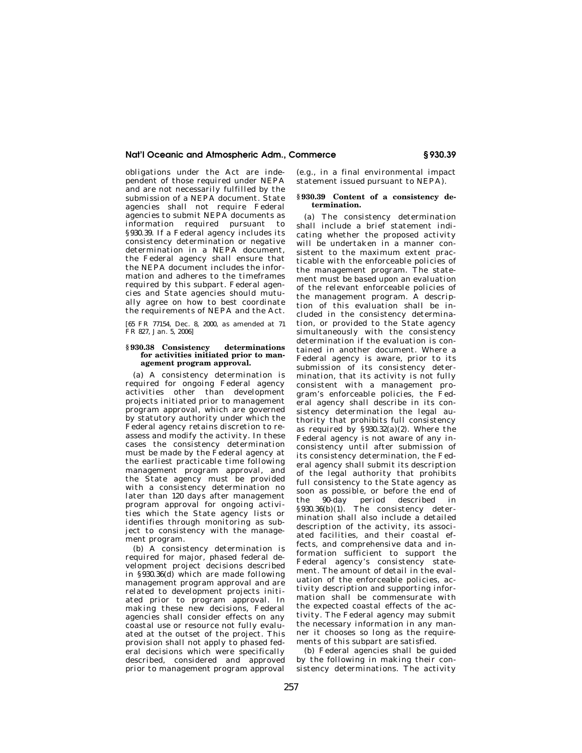obligations under the Act are independent of those required under NEPA and are not necessarily fulfilled by the submission of a NEPA document. State agencies shall not require Federal agencies to submit NEPA documents as information required pursuant to §930.39. If a Federal agency includes its consistency determination or negative determination in a NEPA document, the Federal agency shall ensure that the NEPA document includes the information and adheres to the timeframes required by this subpart. Federal agencies and State agencies should mutually agree on how to best coordinate the requirements of NEPA and the Act.

[65 FR 77154, Dec. 8, 2000, as amended at 71 FR 827, Jan. 5, 2006]

#### **§ 930.38 Consistency determinations for activities initiated prior to management program approval.**

(a) A consistency determination is required for ongoing Federal agency activities other than development projects initiated prior to management program approval, which are governed by statutory authority under which the Federal agency retains discretion to reassess and modify the activity. In these cases the consistency determination must be made by the Federal agency at the earliest practicable time following management program approval, and the State agency must be provided with a consistency determination no later than 120 days after management program approval for ongoing activities which the State agency lists or identifies through monitoring as subject to consistency with the management program.

(b) A consistency determination is required for major, phased federal development project decisions described in §930.36(d) which are made following management program approval and are related to development projects initiated prior to program approval. In making these new decisions, Federal agencies shall consider effects on any coastal use or resource not fully evaluated at the outset of the project. This provision shall not apply to phased federal decisions which were specifically described, considered and approved prior to management program approval

(e.g., in a final environmental impact statement issued pursuant to NEPA).

### **§ 930.39 Content of a consistency determination.**

(a) The consistency determination shall include a brief statement indicating whether the proposed activity will be undertaken in a manner consistent to the maximum extent practicable with the enforceable policies of the management program. The statement must be based upon an evaluation of the relevant enforceable policies of the management program. A description of this evaluation shall be included in the consistency determination, or provided to the State agency simultaneously with the consistency determination if the evaluation is contained in another document. Where a Federal agency is aware, prior to its submission of its consistency determination, that its activity is not fully consistent with a management program's enforceable policies, the Federal agency shall describe in its consistency determination the legal authority that prohibits full consistency as required by §930.32(a)(2). Where the Federal agency is not aware of any inconsistency until after submission of its consistency determination, the Federal agency shall submit its description of the legal authority that prohibits full consistency to the State agency as soon as possible, or before the end of the 90-day period described in §930.36(b)(1). The consistency determination shall also include a detailed description of the activity, its associated facilities, and their coastal effects, and comprehensive data and information sufficient to support the Federal agency's consistency statement. The amount of detail in the evaluation of the enforceable policies, activity description and supporting information shall be commensurate with the expected coastal effects of the activity. The Federal agency may submit the necessary information in any manner it chooses so long as the requirements of this subpart are satisfied.

(b) Federal agencies shall be guided by the following in making their consistency determinations. The activity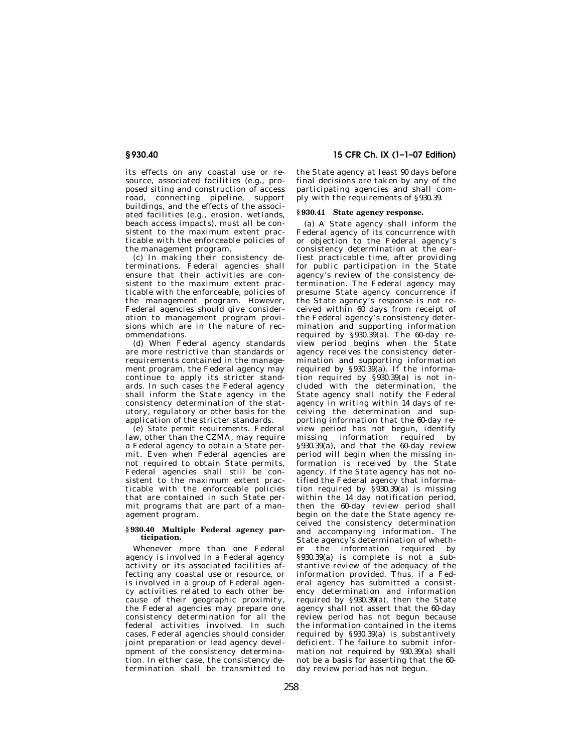its effects on any coastal use or resource, associated facilities (e.g., proposed siting and construction of access road, connecting pipeline, support buildings, and the effects of the associated facilities (e.g., erosion, wetlands, beach access impacts), must all be consistent to the maximum extent practicable with the enforceable policies of the management program.

(c) In making their consistency determinations, Federal agencies shall ensure that their activities are consistent to the maximum extent practicable with the enforceable, policies of the management program. However, Federal agencies should give consideration to management program provisions which are in the nature of recommendations.

(d) When Federal agency standards are more restrictive than standards or requirements contained in the management program, the Federal agency may continue to apply its stricter standards. In such cases the Federal agency shall inform the State agency in the consistency determination of the statutory, regulatory or other basis for the application of the stricter standards.

(e) *State permit requirements.* Federal law, other than the CZMA, may require a Federal agency to obtain a State permit. Even when Federal agencies are not required to obtain State permits, Federal agencies shall still be consistent to the maximum extent practicable with the enforceable policies that are contained in such State permit programs that are part of a management program.

#### **§ 930.40 Multiple Federal agency participation.**

Whenever more than one Federal agency is involved in a Federal agency activity or its associated facilities affecting any coastal use or resource, or is involved in a group of Federal agency activities related to each other because of their geographic proximity, the Federal agencies may prepare one consistency determination for all the federal activities involved. In such cases, Federal agencies should consider joint preparation or lead agency development of the consistency determination. In either case, the consistency determination shall be transmitted to

# **§ 930.40 15 CFR Ch. IX (1–1–07 Edition)**

the State agency at least 90 days before final decisions are taken by any of the participating agencies and shall comply with the requirements of §930.39.

# **§ 930.41 State agency response.**

(a) A State agency shall inform the Federal agency of its concurrence with or objection to the Federal agency's consistency determination at the earliest practicable time, after providing for public participation in the State agency's review of the consistency determination. The Federal agency may presume State agency concurrence if the State agency's response is not received within 60 days from receipt of the Federal agency's consistency determination and supporting information required by  $$930.39(a)$ . The 60-day review period begins when the State agency receives the consistency determination and supporting information required by  $\S 930.\overline{39}$ (a). If the information required by §930.39(a) is not included with the determination, the State agency shall notify the Federal agency in writing within 14 days of receiving the determination and supporting information that the 60-day review period has not begun, identify missing information required by  $\S 930.39(a)$ , and that the 60-day review period will begin when the missing information is received by the State agency. If the State agency has not notified the Federal agency that information required by  $\S 930.39(a)$  is missing within the 14 day notification period, then the 60-day review period shall begin on the date the State agency received the consistency determination and accompanying information. The State agency's determination of whether the information required by §930.39(a) is complete is not a substantive review of the adequacy of the information provided. Thus, if a Federal agency has submitted a consistency determination and information required by §930.39(a), then the State agency shall not assert that the 60-day review period has not begun because the information contained in the items required by §930.39(a) is substantively deficient. The failure to submit information not required by 930.39(a) shall not be a basis for asserting that the 60 day review period has not begun.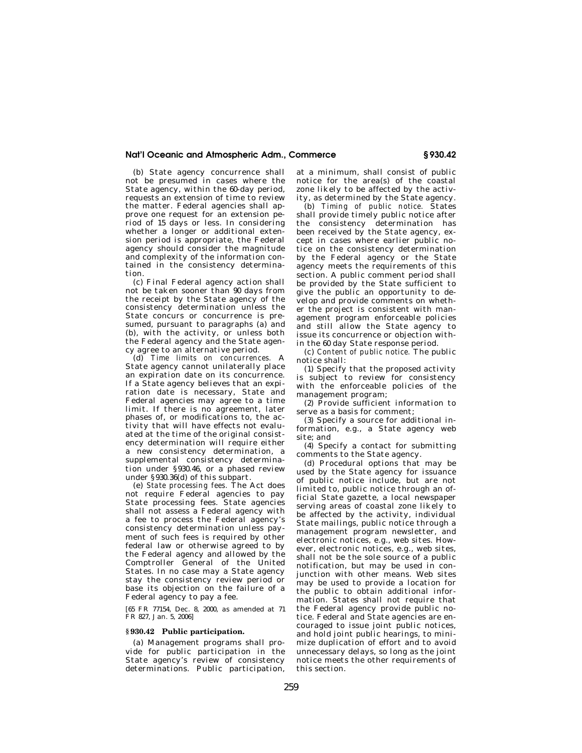(b) State agency concurrence shall not be presumed in cases where the State agency, within the 60-day period, requests an extension of time to review the matter. Federal agencies shall approve one request for an extension period of 15 days or less. In considering whether a longer or additional extension period is appropriate, the Federal agency should consider the magnitude and complexity of the information contained in the consistency determination.

(c) Final Federal agency action shall not be taken sooner than 90 days from the receipt by the State agency of the consistency determination unless the State concurs or concurrence is presumed, pursuant to paragraphs (a) and (b), with the activity, or unless both the Federal agency and the State agency agree to an alternative period.

(d) *Time limits on concurrences.* A State agency cannot unilaterally place an expiration date on its concurrence. If a State agency believes that an expiration date is necessary, State and Federal agencies may agree to a time limit. If there is no agreement, later phases of, or modifications to, the activity that will have effects not evaluated at the time of the original consistency determination will require either a new consistency determination, a supplemental consistency determination under §930.46, or a phased review under §930.36(d) of this subpart.

(e) *State processing fees.* The Act does not require Federal agencies to pay State processing fees. State agencies shall not assess a Federal agency with a fee to process the Federal agency's consistency determination unless payment of such fees is required by other federal law or otherwise agreed to by the Federal agency and allowed by the Comptroller General of the United States. In no case may a State agency stay the consistency review period or base its objection on the failure of a Federal agency to pay a fee.

[65 FR 77154, Dec. 8, 2000, as amended at 71 FR 827, Jan. 5, 2006]

#### **§ 930.42 Public participation.**

(a) Management programs shall provide for public participation in the State agency's review of consistency determinations. Public participation, at a minimum, shall consist of public notice for the area(s) of the coastal zone likely to be affected by the activity, as determined by the State agency.

(b) *Timing of public notice.* States shall provide timely public notice after the consistency determination has been received by the State agency, except in cases where earlier public notice on the consistency determination by the Federal agency or the State agency meets the requirements of this section. A public comment period shall be provided by the State sufficient to give the public an opportunity to develop and provide comments on whether the project is consistent with management program enforceable policies and still allow the State agency to issue its concurrence or objection within the 60 day State response period.

(c) *Content of public notice.* The public notice shall:

(1) Specify that the proposed activity is subject to review for consistency with the enforceable policies of the management program;

(2) Provide sufficient information to serve as a basis for comment;

(3) Specify a source for additional information, e.g., a State agency web site; and

(4) Specify a contact for submitting comments to the State agency.

(d) Procedural options that may be used by the State agency for issuance of public notice include, but are not limited to, public notice through an official State gazette, a local newspaper serving areas of coastal zone likely to be affected by the activity, individual State mailings, public notice through a management program newsletter, and electronic notices, e.g., web sites. However, electronic notices, e.g., web sites, shall not be the sole source of a public notification, but may be used in conjunction with other means. Web sites may be used to provide a location for the public to obtain additional information. States shall not require that the Federal agency provide public notice. Federal and State agencies are encouraged to issue joint public notices, and hold joint public hearings, to minimize duplication of effort and to avoid unnecessary delays, so long as the joint notice meets the other requirements of this section.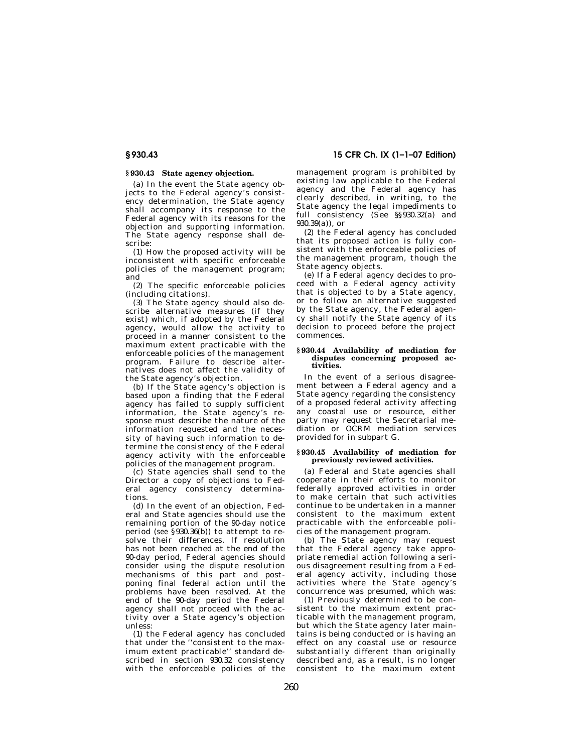# **§ 930.43 State agency objection.**

(a) In the event the State agency objects to the Federal agency's consistency determination, the State agency shall accompany its response to the Federal agency with its reasons for the objection and supporting information. The State agency response shall describe:

(1) How the proposed activity will be inconsistent with specific enforceable policies of the management program; and

(2) The specific enforceable policies (including citations).

(3) The State agency should also describe alternative measures (if they exist) which, if adopted by the Federal agency, would allow the activity to proceed in a manner consistent to the maximum extent practicable with the enforceable policies of the management program. Failure to describe alternatives does not affect the validity of the State agency's objection.

(b) If the State agency's objection is based upon a finding that the Federal agency has failed to supply sufficient information, the State agency's response must describe the nature of the information requested and the necessity of having such information to determine the consistency of the Federal agency activity with the enforceable policies of the management program.

(c) State agencies shall send to the Director a copy of objections to Federal agency consistency determinations.

(d) In the event of an objection, Federal and State agencies should use the remaining portion of the 90-day notice period (*see* §930.36(b)) to attempt to resolve their differences. If resolution has not been reached at the end of the 90-day period, Federal agencies should consider using the dispute resolution mechanisms of this part and postponing final federal action until the problems have been resolved. At the end of the 90-day period the Federal agency shall not proceed with the activity over a State agency's objection unless:

(1) the Federal agency has concluded that under the ''consistent to the maximum extent practicable'' standard described in section 930.32 consistency with the enforceable policies of the

management program is prohibited by existing law applicable to the Federal agency and the Federal agency has clearly described, in writing, to the State agency the legal impediments to full consistency (See §§930.32(a) and 930.39(a)), or

(2) the Federal agency has concluded that its proposed action is fully consistent with the enforceable policies of the management program, though the State agency objects.

(e) If a Federal agency decides to proceed with a Federal agency activity that is objected to by a State agency, or to follow an alternative suggested by the State agency, the Federal agency shall notify the State agency of its decision to proceed before the project commences.

#### **§ 930.44 Availability of mediation for disputes concerning proposed activities.**

In the event of a serious disagreement between a Federal agency and a State agency regarding the consistency of a proposed federal activity affecting any coastal use or resource, either party may request the Secretarial mediation or OCRM mediation services provided for in subpart G.

#### **§ 930.45 Availability of mediation for previously reviewed activities.**

(a) Federal and State agencies shall cooperate in their efforts to monitor federally approved activities in order to make certain that such activities continue to be undertaken in a manner consistent to the maximum extent practicable with the enforceable policies of the management program.

(b) The State agency may request that the Federal agency take appropriate remedial action following a serious disagreement resulting from a Federal agency activity, including those activities where the State agency's concurrence was presumed, which was:

(1) Previously determined to be consistent to the maximum extent practicable with the management program, but which the State agency later maintains is being conducted or is having an effect on any coastal use or resource substantially different than originally described and, as a result, is no longer consistent to the maximum extent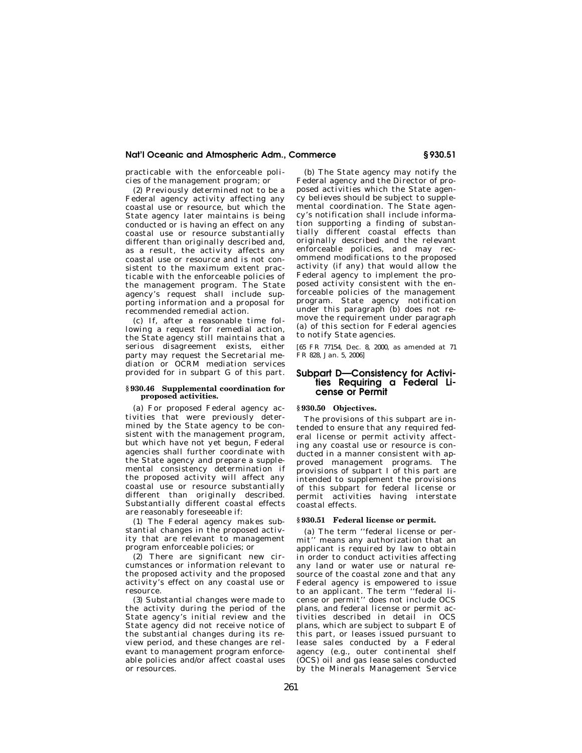practicable with the enforceable policies of the management program; or

(2) Previously determined not to be a Federal agency activity affecting any coastal use or resource, but which the State agency later maintains is being conducted or is having an effect on any coastal use or resource substantially different than originally described and, as a result, the activity affects any coastal use or resource and is not consistent to the maximum extent practicable with the enforceable policies of the management program. The State agency's request shall include supporting information and a proposal for recommended remedial action.

(c) If, after a reasonable time following a request for remedial action, the State agency still maintains that a serious disagreement exists, either party may request the Secretarial mediation or OCRM mediation services provided for in subpart G of this part.

#### **§ 930.46 Supplemental coordination for proposed activities.**

(a) For proposed Federal agency activities that were previously determined by the State agency to be consistent with the management program, but which have not yet begun, Federal agencies shall further coordinate with the State agency and prepare a supplemental consistency determination if the proposed activity will affect any coastal use or resource substantially different than originally described. Substantially different coastal effects are reasonably foreseeable if:

(1) The Federal agency makes substantial changes in the proposed activity that are relevant to management program enforceable policies; or

(2) There are significant new circumstances or information relevant to the proposed activity and the proposed activity's effect on any coastal use or resource.

(3) Substantial changes were made to the activity during the period of the State agency's initial review and the State agency did not receive notice of the substantial changes during its review period, and these changes are relevant to management program enforceable policies and/or affect coastal uses or resources.

(b) The State agency may notify the Federal agency and the Director of proposed activities which the State agency believes should be subject to supplemental coordination. The State agency's notification shall include information supporting a finding of substantially different coastal effects than originally described and the relevant enforceable policies, and may recommend modifications to the proposed activity (if any) that would allow the Federal agency to implement the proposed activity consistent with the enforceable policies of the management program. State agency notification under this paragraph (b) does not remove the requirement under paragraph (a) of this section for Federal agencies to notify State agencies.

[65 FR 77154, Dec. 8, 2000, as amended at 71 FR 828, Jan. 5, 2006]

# **Subpart D—Consistency for Activities Requiring a Federal License or Permit**

#### **§ 930.50 Objectives.**

The provisions of this subpart are intended to ensure that any required federal license or permit activity affecting any coastal use or resource is conducted in a manner consistent with approved management programs. The provisions of subpart I of this part are intended to supplement the provisions of this subpart for federal license or permit activities having interstate coastal effects.

#### **§ 930.51 Federal license or permit.**

(a) The term ''federal license or permit'' means any authorization that an applicant is required by law to obtain in order to conduct activities affecting any land or water use or natural resource of the coastal zone and that any Federal agency is empowered to issue to an applicant. The term ''federal license or permit'' does not include OCS plans, and federal license or permit activities described in detail in OCS plans, which are subject to subpart E of this part, or leases issued pursuant to lease sales conducted by a Federal agency (e.g., outer continental shelf (OCS) oil and gas lease sales conducted by the Minerals Management Service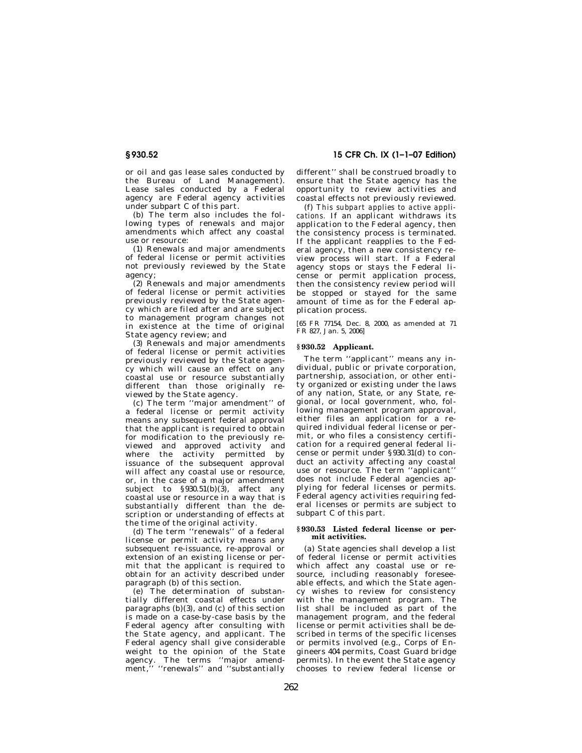or oil and gas lease sales conducted by the Bureau of Land Management). Lease sales conducted by a Federal agency are Federal agency activities under subpart C of this part.

(b) The term also includes the following types of renewals and major amendments which affect any coastal use or resource:

(1) Renewals and major amendments of federal license or permit activities not previously reviewed by the State agency;

 $(2)$  Renewals and major amendments of federal license or permit activities previously reviewed by the State agency which are filed after and are subject to management program changes not in existence at the time of original State agency review; and

(3) Renewals and major amendments of federal license or permit activities previously reviewed by the State agency which will cause an effect on any coastal use or resource substantially different than those originally reviewed by the State agency.

(c) The term ''major amendment'' of a federal license or permit activity means any subsequent federal approval that the applicant is required to obtain for modification to the previously reviewed and approved activity and where the activity permitted by issuance of the subsequent approval will affect any coastal use or resource, or, in the case of a major amendment subject to  $\S 930.51(b)(3)$ , affect any coastal use or resource in a way that is substantially different than the description or understanding of effects at the time of the original activity.

(d) The term ''renewals'' of a federal license or permit activity means any subsequent re-issuance, re-approval or extension of an existing license or permit that the applicant is required to obtain for an activity described under paragraph (b) of this section.

(e) The determination of substantially different coastal effects under paragraphs (b)(3), and (c) of this section is made on a case-by-case basis by the Federal agency after consulting with the State agency, and applicant. The Federal agency shall give considerable weight to the opinion of the State agency. The terms ''major amendment,'' ''renewals'' and ''substantially

**§ 930.52 15 CFR Ch. IX (1–1–07 Edition)** 

different'' shall be construed broadly to ensure that the State agency has the opportunity to review activities and coastal effects not previously reviewed.

(f) *This subpart applies to active applications.* If an applicant withdraws its application to the Federal agency, then the consistency process is terminated. If the applicant reapplies to the Federal agency, then a new consistency review process will start. If a Federal agency stops or stays the Federal license or permit application process, then the consistency review period will be stopped or stayed for the same amount of time as for the Federal application process.

[65 FR 77154, Dec. 8, 2000, as amended at 71 FR 827, Jan. 5, 2006]

#### **§ 930.52 Applicant.**

The term ''applicant'' means any individual, public or private corporation, partnership, association, or other entity organized or existing under the laws of any nation, State, or any State, regional, or local government, who, following management program approval, either files an application for a required individual federal license or permit, or who files a consistency certification for a required general federal license or permit under §930.31(d) to conduct an activity affecting any coastal use or resource. The term "applicant" does not include Federal agencies applying for federal licenses or permits. Federal agency activities requiring federal licenses or permits are subject to subpart C of this part.

#### **§ 930.53 Listed federal license or permit activities.**

(a) State agencies shall develop a list of federal license or permit activities which affect any coastal use or resource, including reasonably foreseeable effects, and which the State agency wishes to review for consistency with the management program. The list shall be included as part of the management program, and the federal license or permit activities shall be described in terms of the specific licenses or permits involved (e.g., Corps of Engineers 404 permits, Coast Guard bridge permits). In the event the State agency chooses to review federal license or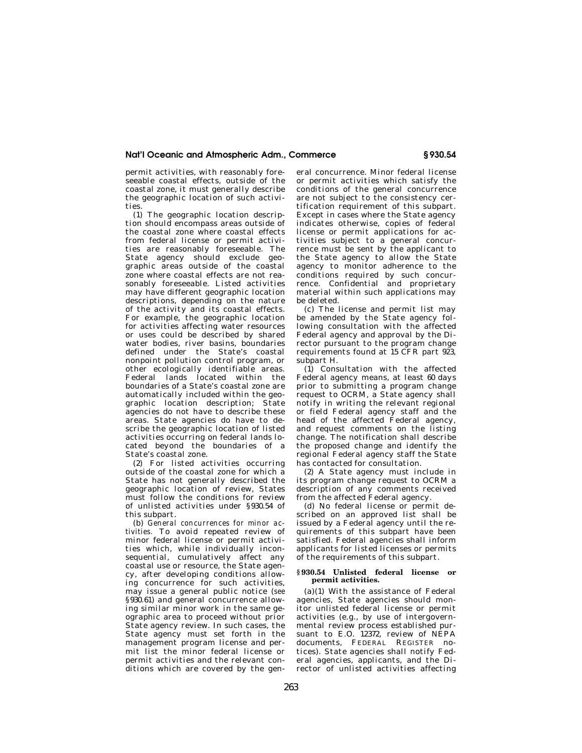permit activities, with reasonably foreseeable coastal effects, outside of the coastal zone, it must generally describe the geographic location of such activities.

(1) The geographic location description should encompass areas outside of the coastal zone where coastal effects from federal license or permit activities are reasonably foreseeable. The State agency should exclude geographic areas outside of the coastal zone where coastal effects are not reasonably foreseeable. Listed activities may have different geographic location descriptions, depending on the nature of the activity and its coastal effects. For example, the geographic location for activities affecting water resources or uses could be described by shared water bodies, river basins, boundaries defined under the State's coastal nonpoint pollution control program, or other ecologically identifiable areas. Federal lands located within the boundaries of a State's coastal zone are automatically included within the geographic location description; State agencies do not have to describe these areas. State agencies do have to describe the geographic location of listed activities occurring on federal lands located beyond the boundaries of a State's coastal zone.

(2) For listed activities occurring outside of the coastal zone for which a State has not generally described the geographic location of review, States must follow the conditions for review of unlisted activities under §930.54 of this subpart.

(b) *General concurrences for minor activities.* To avoid repeated review of minor federal license or permit activities which, while individually inconsequential, cumulatively affect any coastal use or resource, the State agency, after developing conditions allowing concurrence for such activities, may issue a general public notice (*see*  §930.61) and general concurrence allowing similar minor work in the same geographic area to proceed without prior State agency review. In such cases, the State agency must set forth in the management program license and permit list the minor federal license or permit activities and the relevant conditions which are covered by the general concurrence. Minor federal license or permit activities which satisfy the conditions of the general concurrence are not subject to the consistency certification requirement of this subpart. Except in cases where the State agency indicates otherwise, copies of federal license or permit applications for activities subject to a general concurrence must be sent by the applicant to the State agency to allow the State agency to monitor adherence to the conditions required by such concurrence. Confidential and proprietary material within such applications may be deleted.

(c) The license and permit list may be amended by the State agency following consultation with the affected Federal agency and approval by the Director pursuant to the program change requirements found at 15 CFR part 923, subpart H.

(1) Consultation with the affected Federal agency means, at least 60 days prior to submitting a program change request to OCRM, a State agency shall notify in writing the relevant regional or field Federal agency staff and the head of the affected Federal agency, and request comments on the listing change. The notification shall describe the proposed change and identify the regional Federal agency staff the State has contacted for consultation.

(2) A State agency must include in its program change request to OCRM a description of any comments received from the affected Federal agency.

(d) No federal license or permit described on an approved list shall be issued by a Federal agency until the requirements of this subpart have been satisfied. Federal agencies shall inform applicants for listed licenses or permits of the requirements of this subpart.

#### **§ 930.54 Unlisted federal license or permit activities.**

(a)(1) With the assistance of Federal agencies, State agencies should monitor unlisted federal license or permit activities (e.g., by use of intergovernmental review process established pursuant to E.O. 12372, review of NEPA documents, FEDERAL REGISTER notices). State agencies shall notify Federal agencies, applicants, and the Director of unlisted activities affecting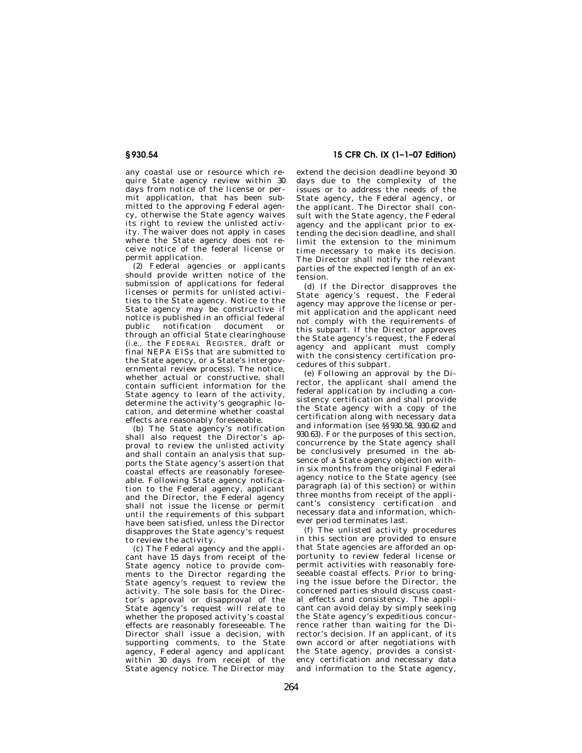any coastal use or resource which require State agency review within 30 days from notice of the license or permit application, that has been submitted to the approving Federal agency, otherwise the State agency waives its right to review the unlisted activity. The waiver does not apply in cases where the State agency does not receive notice of the federal license or permit application.

(2) Federal agencies or applicants should provide written notice of the submission of applications for federal licenses or permits for unlisted activities to the State agency. Notice to the State agency may be constructive if notice is published in an official federal public notification document or through an official State clearinghouse (*i.e.,* the FEDERAL REGISTER, draft or final NEPA EISs that are submitted to the State agency, or a State's intergovernmental review process). The notice, whether actual or constructive, shall contain sufficient information for the State agency to learn of the activity, determine the activity's geographic location, and determine whether coastal effects are reasonably foreseeable.

(b) The State agency's notification shall also request the Director's approval to review the unlisted activity and shall contain an analysis that supports the State agency's assertion that coastal effects are reasonably foreseeable. Following State agency notification to the Federal agency, applicant and the Director, the Federal agency shall not issue the license or permit until the requirements of this subpart have been satisfied, unless the Director disapproves the State agency's request to review the activity.

(c) The Federal agency and the applicant have 15 days from receipt of the State agency notice to provide comments to the Director regarding the State agency's request to review the activity. The sole basis for the Director's approval or disapproval of the State agency's request will relate to whether the proposed activity's coastal effects are reasonably foreseeable. The Director shall issue a decision, with supporting comments, to the State agency, Federal agency and applicant within 30 days from receipt of the State agency notice. The Director may

**§ 930.54 15 CFR Ch. IX (1–1–07 Edition)** 

extend the decision deadline beyond 30 days due to the complexity of the issues or to address the needs of the State agency, the Federal agency, or the applicant. The Director shall consult with the State agency, the Federal agency and the applicant prior to extending the decision deadline, and shall limit the extension to the minimum time necessary to make its decision. The Director shall notify the relevant parties of the expected length of an extension.

(d) If the Director disapproves the State agency's request, the Federal agency may approve the license or permit application and the applicant need not comply with the requirements of this subpart. If the Director approves the State agency's request, the Federal agency and applicant must comply with the consistency certification procedures of this subpart.

(e) Following an approval by the Director, the applicant shall amend the federal application by including a consistency certification and shall provide the State agency with a copy of the certification along with necessary data and information (*see* §§930.58, 930.62 and 930.63). For the purposes of this section, concurrence by the State agency shall be conclusively presumed in the absence of a State agency objection within six months from the original Federal agency notice to the State agency (*see*  paragraph (a) of this section) or within three months from receipt of the applicant's consistency certification and necessary data and information, whichever period terminates last.

(f) The unlisted activity procedures in this section are provided to ensure that State agencies are afforded an opportunity to review federal license or permit activities with reasonably foreseeable coastal effects. Prior to bringing the issue before the Director, the concerned parties should discuss coastal effects and consistency. The applicant can avoid delay by simply seeking the State agency's expeditious concurrence rather than waiting for the Director's decision. If an applicant, of its own accord or after negotiations with the State agency, provides a consistency certification and necessary data and information to the State agency,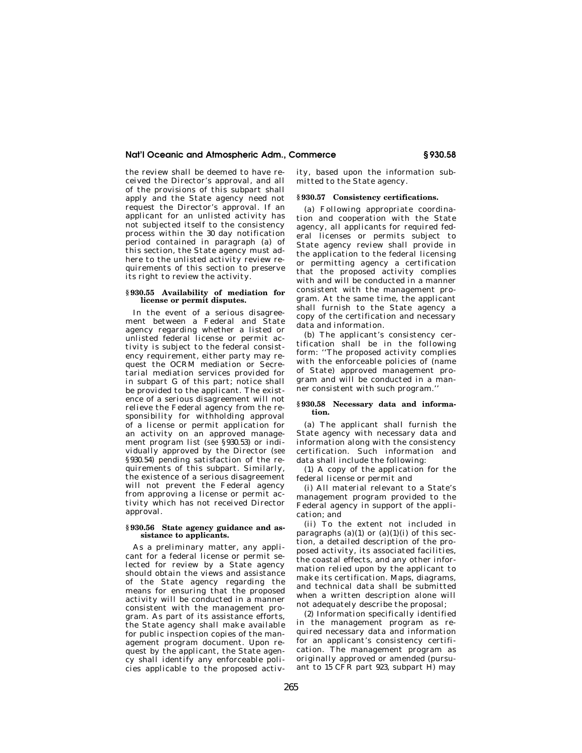the review shall be deemed to have received the Director's approval, and all of the provisions of this subpart shall apply and the State agency need not request the Director's approval. If an applicant for an unlisted activity has not subjected itself to the consistency process within the 30 day notification period contained in paragraph (a) of this section, the State agency must adhere to the unlisted activity review requirements of this section to preserve its right to review the activity.

#### **§ 930.55 Availability of mediation for license or permit disputes.**

In the event of a serious disagreement between a Federal and State agency regarding whether a listed or unlisted federal license or permit activity is subject to the federal consistency requirement, either party may request the OCRM mediation or Secretarial mediation services provided for in subpart G of this part; notice shall be provided to the applicant. The existence of a serious disagreement will not relieve the Federal agency from the responsibility for withholding approval of a license or permit application for an activity on an approved management program list (*see* §930.53) or individually approved by the Director (*see*  §930.54) pending satisfaction of the requirements of this subpart. Similarly, the existence of a serious disagreement will not prevent the Federal agency from approving a license or permit activity which has not received Director approval.

#### **§ 930.56 State agency guidance and assistance to applicants.**

As a preliminary matter, any applicant for a federal license or permit selected for review by a State agency should obtain the views and assistance of the State agency regarding the means for ensuring that the proposed activity will be conducted in a manner consistent with the management program. As part of its assistance efforts, the State agency shall make available for public inspection copies of the management program document. Upon request by the applicant, the State agency shall identify any enforceable policies applicable to the proposed activ-

ity, based upon the information submitted to the State agency.

### **§ 930.57 Consistency certifications.**

(a) Following appropriate coordination and cooperation with the State agency, all applicants for required federal licenses or permits subject to State agency review shall provide in the application to the federal licensing or permitting agency a certification that the proposed activity complies with and will be conducted in a manner consistent with the management program. At the same time, the applicant shall furnish to the State agency a copy of the certification and necessary data and information.

(b) The applicant's consistency certification shall be in the following form: ''The proposed activity complies with the enforceable policies of (name of State) approved management program and will be conducted in a manner consistent with such program.''

#### **§ 930.58 Necessary data and information.**

(a) The applicant shall furnish the State agency with necessary data and information along with the consistency certification. Such information and data shall include the following:

(1) A copy of the application for the federal license or permit and

(i) All material relevant to a State's management program provided to the Federal agency in support of the application; and

(ii) To the extent not included in paragraphs (a)(1) or (a)(1)(i) of this section, a detailed description of the proposed activity, its associated facilities, the coastal effects, and any other information relied upon by the applicant to make its certification. Maps, diagrams, and technical data shall be submitted when a written description alone will not adequately describe the proposal;

(2) Information specifically identified in the management program as required necessary data and information for an applicant's consistency certification. The management program as originally approved or amended (pursuant to 15 CFR part 923, subpart H) may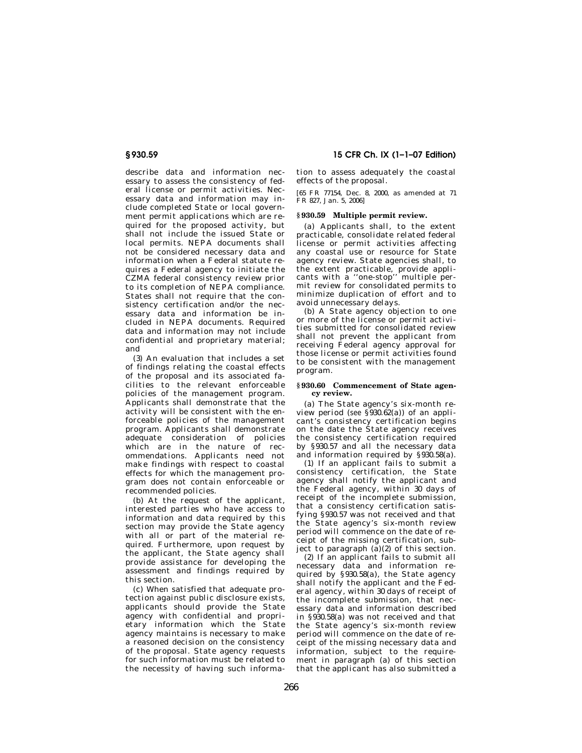describe data and information necessary to assess the consistency of federal license or permit activities. Necessary data and information may include completed State or local government permit applications which are required for the proposed activity, but shall not include the issued State or local permits. NEPA documents shall not be considered necessary data and information when a Federal statute requires a Federal agency to initiate the CZMA federal consistency review prior to its completion of NEPA compliance. States shall not require that the consistency certification and/or the necessary data and information be included in NEPA documents. Required data and information may not include confidential and proprietary material; and

(3) An evaluation that includes a set of findings relating the coastal effects of the proposal and its associated facilities to the relevant enforceable policies of the management program. Applicants shall demonstrate that the activity will be consistent with the enforceable policies of the management program. Applicants shall demonstrate adequate consideration of policies which are in the nature of recommendations. Applicants need not make findings with respect to coastal effects for which the management program does not contain enforceable or recommended policies.

(b) At the request of the applicant, interested parties who have access to information and data required by this section may provide the State agency with all or part of the material required. Furthermore, upon request by the applicant, the State agency shall provide assistance for developing the assessment and findings required by this section.

(c) When satisfied that adequate protection against public disclosure exists, applicants should provide the State agency with confidential and proprietary information which the State agency maintains is necessary to make a reasoned decision on the consistency of the proposal. State agency requests for such information must be related to the necessity of having such informa-

**§ 930.59 15 CFR Ch. IX (1–1–07 Edition)** 

tion to assess adequately the coastal effects of the proposal.

[65 FR 77154, Dec. 8, 2000, as amended at 71 FR 827, Jan. 5, 2006]

### **§ 930.59 Multiple permit review.**

(a) Applicants shall, to the extent practicable, consolidate related federal license or permit activities affecting any coastal use or resource for State agency review. State agencies shall, to the extent practicable, provide applicants with a ''one-stop'' multiple permit review for consolidated permits to minimize duplication of effort and to avoid unnecessary delays.

(b) A State agency objection to one or more of the license or permit activities submitted for consolidated review shall not prevent the applicant from receiving Federal agency approval for those license or permit activities found to be consistent with the management program.

#### **§ 930.60 Commencement of State agency review.**

(a) The State agency's six-month review period (*see* §930.62(a)) of an applicant's consistency certification begins on the date the State agency receives the consistency certification required by §930.57 and all the necessary data and information required by §930.58(a).

(1) If an applicant fails to submit a consistency certification, the State agency shall notify the applicant and the Federal agency, within 30 days of receipt of the incomplete submission, that a consistency certification satisfying §930.57 was not received and that the State agency's six-month review period will commence on the date of receipt of the missing certification, subject to paragraph  $(a)(2)$  of this section.

(2) If an applicant fails to submit all necessary data and information required by §930.58(a), the State agency shall notify the applicant and the Federal agency, within 30 days of receipt of the incomplete submission, that necessary data and information described in §930.58(a) was not received and that the State agency's six-month review period will commence on the date of receipt of the missing necessary data and information, subject to the requirement in paragraph (a) of this section that the applicant has also submitted a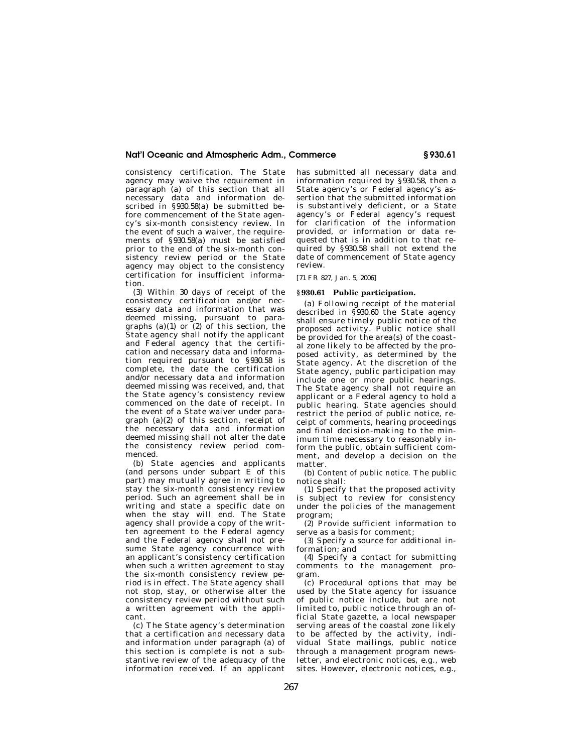consistency certification. The State agency may waive the requirement in paragraph (a) of this section that all necessary data and information described in §930.58(a) be submitted before commencement of the State agency's six-month consistency review. In the event of such a waiver, the requirements of §930.58(a) must be satisfied prior to the end of the six-month consistency review period or the State agency may object to the consistency certification for insufficient information.

(3) Within 30 days of receipt of the consistency certification and/or necessary data and information that was deemed missing, pursuant to paragraphs (a)(1) or (2) of this section, the State agency shall notify the applicant and Federal agency that the certification and necessary data and information required pursuant to §930.58 is complete, the date the certification and/or necessary data and information deemed missing was received, and, that the State agency's consistency review commenced on the date of receipt. In the event of a State waiver under paragraph (a)(2) of this section, receipt of the necessary data and information deemed missing shall not alter the date the consistency review period commenced.

(b) State agencies and applicants (and persons under subpart  $\hat{E}$  of this part) may mutually agree in writing to stay the six-month consistency review period. Such an agreement shall be in writing and state a specific date on when the stay will end. The State agency shall provide a copy of the written agreement to the Federal agency and the Federal agency shall not presume State agency concurrence with an applicant's consistency certification when such a written agreement to stay the six-month consistency review period is in effect. The State agency shall not stop, stay, or otherwise alter the consistency review period without such a written agreement with the applicant.

(c) The State agency's determination that a certification and necessary data and information under paragraph (a) of this section is complete is not a substantive review of the adequacy of the information received. If an applicant has submitted all necessary data and information required by §930.58, then a State agency's or Federal agency's assertion that the submitted information is substantively deficient, or a State agency's or Federal agency's request for clarification of the information provided, or information or data requested that is in addition to that required by §930.58 shall not extend the date of commencement of State agency review.

[71 FR 827, Jan. 5, 2006]

#### **§ 930.61 Public participation.**

(a) Following receipt of the material described in §930.60 the State agency shall ensure timely public notice of the proposed activity. Public notice shall be provided for the area(s) of the coastal zone likely to be affected by the proposed activity, as determined by the State agency. At the discretion of the State agency, public participation may include one or more public hearings. The State agency shall not require an applicant or a Federal agency to hold a public hearing. State agencies should restrict the period of public notice, receipt of comments, hearing proceedings and final decision-making to the minimum time necessary to reasonably inform the public, obtain sufficient comment, and develop a decision on the matter.

(b) *Content of public notice.* The public notice shall:

(1) Specify that the proposed activity is subject to review for consistency under the policies of the management program;

(2) Provide sufficient information to serve as a basis for comment;

(3) Specify a source for additional information; and

(4) Specify a contact for submitting comments to the management program.

(c) Procedural options that may be used by the State agency for issuance of public notice include, but are not limited to, public notice through an official State gazette, a local newspaper serving areas of the coastal zone likely to be affected by the activity, individual State mailings, public notice through a management program newsletter, and electronic notices, e.g., web sites. However, electronic notices, e.g.,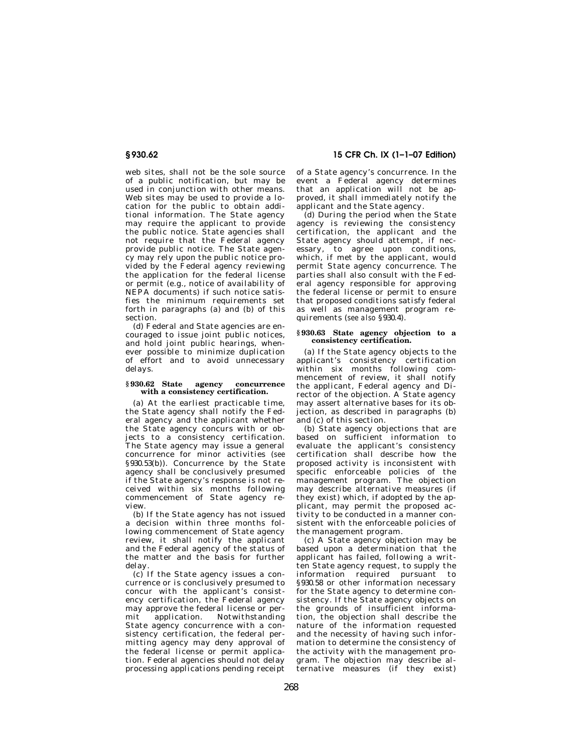# **§ 930.62 15 CFR Ch. IX (1–1–07 Edition)**

web sites, shall not be the sole source of a public notification, but may be used in conjunction with other means. Web sites may be used to provide a location for the public to obtain additional information. The State agency may require the applicant to provide the public notice. State agencies shall not require that the Federal agency provide public notice. The State agency may rely upon the public notice provided by the Federal agency reviewing the application for the federal license or permit (e.g., notice of availability of NEPA documents) if such notice satisfies the minimum requirements set forth in paragraphs (a) and (b) of this section.

(d) Federal and State agencies are encouraged to issue joint public notices, and hold joint public hearings, whenever possible to minimize duplication of effort and to avoid unnecessary delays.

#### **§ 930.62 State agency concurrence with a consistency certification.**

(a) At the earliest practicable time, the State agency shall notify the Federal agency and the applicant whether the State agency concurs with or objects to a consistency certification. The State agency may issue a general concurrence for minor activities (*see*  §930.53(b)). Concurrence by the State agency shall be conclusively presumed if the State agency's response is not received within six months following commencement of State agency review.

(b) If the State agency has not issued a decision within three months following commencement of State agency review, it shall notify the applicant and the Federal agency of the status of the matter and the basis for further delay.

(c) If the State agency issues a concurrence or is conclusively presumed to concur with the applicant's consistency certification, the Federal agency may approve the federal license or permit application. Notwithstanding State agency concurrence with a consistency certification, the federal permitting agency may deny approval of the federal license or permit application. Federal agencies should not delay processing applications pending receipt

of a State agency's concurrence. In the event a Federal agency determines that an application will not be approved, it shall immediately notify the applicant and the State agency.

(d) During the period when the State agency is reviewing the consistency certification, the applicant and the State agency should attempt, if necessary, to agree upon conditions, which, if met by the applicant, would permit State agency concurrence. The parties shall also consult with the Federal agency responsible for approving the federal license or permit to ensure that proposed conditions satisfy federal as well as management program requirements (*see also* §930.4).

#### **§ 930.63 State agency objection to a consistency certification.**

(a) If the State agency objects to the applicant's consistency certification within six months following commencement of review, it shall notify the applicant, Federal agency and Director of the objection. A State agency may assert alternative bases for its objection, as described in paragraphs (b) and (c) of this section.

(b) State agency objections that are based on sufficient information to evaluate the applicant's consistency certification shall describe how the proposed activity is inconsistent with specific enforceable policies of the management program. The objection may describe alternative measures (if they exist) which, if adopted by the applicant, may permit the proposed activity to be conducted in a manner consistent with the enforceable policies of the management program.

(c) A State agency objection may be based upon a determination that the applicant has failed, following a written State agency request, to supply the information required pursuant to §930.58 or other information necessary for the State agency to determine consistency. If the State agency objects on the grounds of insufficient information, the objection shall describe the nature of the information requested and the necessity of having such information to determine the consistency of the activity with the management program. The objection may describe alternative measures (if they exist)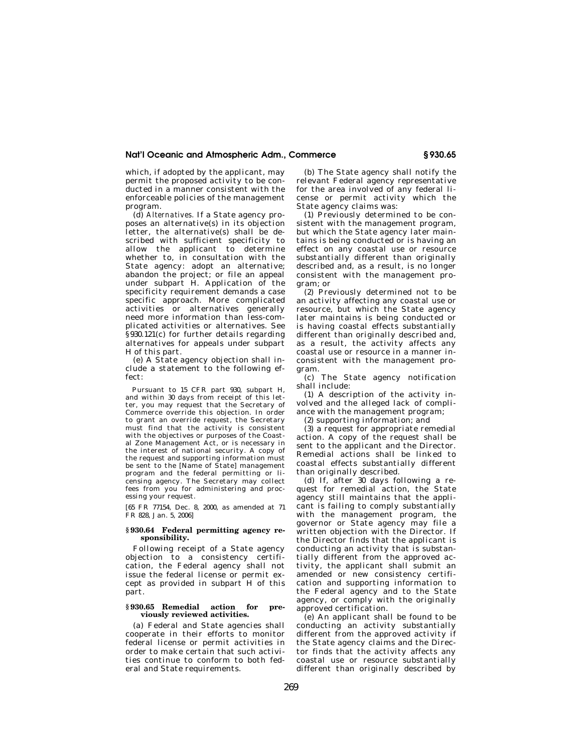which, if adopted by the applicant, may permit the proposed activity to be conducted in a manner consistent with the enforceable policies of the management program.

(d) *Alternatives.* If a State agency proposes an alternative(s) in its objection letter, the alternative(s) shall be described with sufficient specificity to allow the applicant to determine whether to, in consultation with the State agency: adopt an alternative; abandon the project; or file an appeal under subpart H. Application of the specificity requirement demands a case specific approach. More complicated activities or alternatives generally need more information than less-complicated activities or alternatives. See §930.121(c) for further details regarding alternatives for appeals under subpart H of this part.

(e) A State agency objection shall include a statement to the following effect:

Pursuant to 15 CFR part 930, subpart H, and within 30 days from receipt of this letter, you may request that the Secretary of Commerce override this objection. In order to grant an override request, the Secretary must find that the activity is consistent with the objectives or purposes of the Coastal Zone Management Act, or is necessary in the interest of national security. A copy of the request and supporting information must be sent to the [Name of State] management program and the federal permitting or licensing agency. The Secretary may collect fees from you for administering and processing your request.

[65 FR 77154, Dec. 8, 2000, as amended at 71 FR 828, Jan. 5, 2006]

#### **§ 930.64 Federal permitting agency responsibility.**

Following receipt of a State agency objection to a consistency certification, the Federal agency shall not issue the federal license or permit except as provided in subpart H of this part.

#### **§ 930.65 Remedial action for previously reviewed activities.**

(a) Federal and State agencies shall cooperate in their efforts to monitor federal license or permit activities in order to make certain that such activities continue to conform to both federal and State requirements.

(b) The State agency shall notify the relevant Federal agency representative for the area involved of any federal license or permit activity which the State agency claims was:

(1) Previously determined to be consistent with the management program, but which the State agency later maintains is being conducted or is having an effect on any coastal use or resource substantially different than originally described and, as a result, is no longer consistent with the management program; or

(2) Previously determined not to be an activity affecting any coastal use or resource, but which the State agency later maintains is being conducted or is having coastal effects substantially different than originally described and, as a result, the activity affects any coastal use or resource in a manner inconsistent with the management program.

(c) The State agency notification shall include:

(1) A description of the activity involved and the alleged lack of compliance with the management program;

(2) supporting information; and

(3) a request for appropriate remedial action. A copy of the request shall be sent to the applicant and the Director. Remedial actions shall be linked to coastal effects substantially different than originally described.

(d) If, after 30 days following a request for remedial action, the State agency still maintains that the applicant is failing to comply substantially with the management program, the governor or State agency may file a written objection with the Director. If the Director finds that the applicant is conducting an activity that is substantially different from the approved activity, the applicant shall submit an amended or new consistency certification and supporting information to the Federal agency and to the State agency, or comply with the originally approved certification.

(e) An applicant shall be found to be conducting an activity substantially different from the approved activity if the State agency claims and the Director finds that the activity affects any coastal use or resource substantially different than originally described by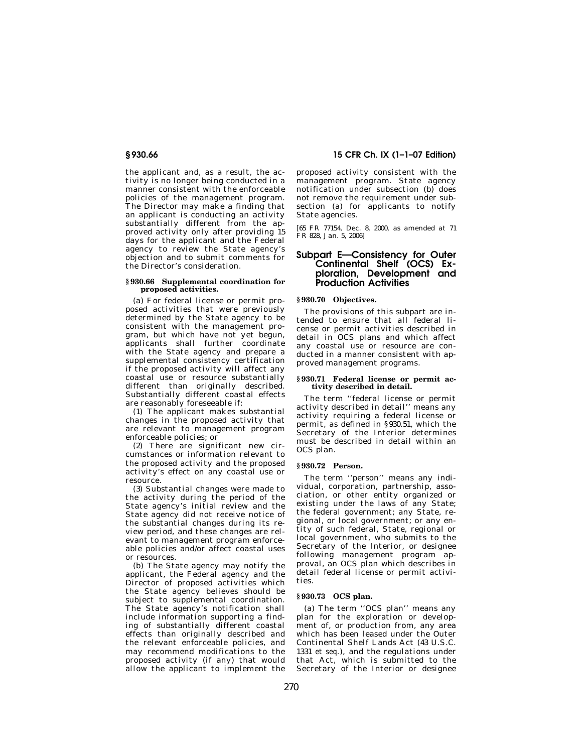the applicant and, as a result, the activity is no longer being conducted in a manner consistent with the enforceable policies of the management program. The Director may make a finding that an applicant is conducting an activity substantially different from the approved activity only after providing 15 days for the applicant and the Federal agency to review the State agency's objection and to submit comments for the Director's consideration.

#### **§ 930.66 Supplemental coordination for proposed activities.**

(a) For federal license or permit proposed activities that were previously determined by the State agency to be consistent with the management program, but which have not yet begun, applicants shall further coordinate with the State agency and prepare a supplemental consistency certification if the proposed activity will affect any coastal use or resource substantially different than originally described. Substantially different coastal effects are reasonably foreseeable if:

(1) The applicant makes substantial changes in the proposed activity that are relevant to management program enforceable policies; or

(2) There are significant new circumstances or information relevant to the proposed activity and the proposed activity's effect on any coastal use or resource.

(3) Substantial changes were made to the activity during the period of the State agency's initial review and the State agency did not receive notice of the substantial changes during its review period, and these changes are relevant to management program enforceable policies and/or affect coastal uses or resources.

(b) The State agency may notify the applicant, the Federal agency and the Director of proposed activities which the State agency believes should be subject to supplemental coordination. The State agency's notification shall include information supporting a finding of substantially different coastal effects than originally described and the relevant enforceable policies, and may recommend modifications to the proposed activity (if any) that would allow the applicant to implement the

# **§ 930.66 15 CFR Ch. IX (1–1–07 Edition)**

proposed activity consistent with the management program. State agency notification under subsection (b) does not remove the requirement under subsection (a) for applicants to notify State agencies.

[65 FR 77154, Dec. 8, 2000, as amended at 71 FR 828, Jan. 5, 2006]

# **Subpart E—Consistency for Outer Continental Shelf (OCS) Exploration, Development and Production Activities**

# **§ 930.70 Objectives.**

The provisions of this subpart are intended to ensure that all federal license or permit activities described in detail in OCS plans and which affect any coastal use or resource are conducted in a manner consistent with approved management programs.

#### **§ 930.71 Federal license or permit activity described in detail.**

The term ''federal license or permit activity described in detail'' means any activity requiring a federal license or permit, as defined in §930.51, which the Secretary of the Interior determines must be described in detail within an OCS plan.

# **§ 930.72 Person.**

The term ''person'' means any individual, corporation, partnership, association, or other entity organized or existing under the laws of any State; the federal government; any State, regional, or local government; or any entity of such federal, State, regional or local government, who submits to the Secretary of the Interior, or designee following management program approval, an OCS plan which describes in detail federal license or permit activities.

# **§ 930.73 OCS plan.**

(a) The term ''OCS plan'' means any plan for the exploration or development of, or production from, any area which has been leased under the Outer Continental Shelf Lands Act (43 U.S.C. 1331 *et seq.*), and the regulations under that Act, which is submitted to the Secretary of the Interior or designee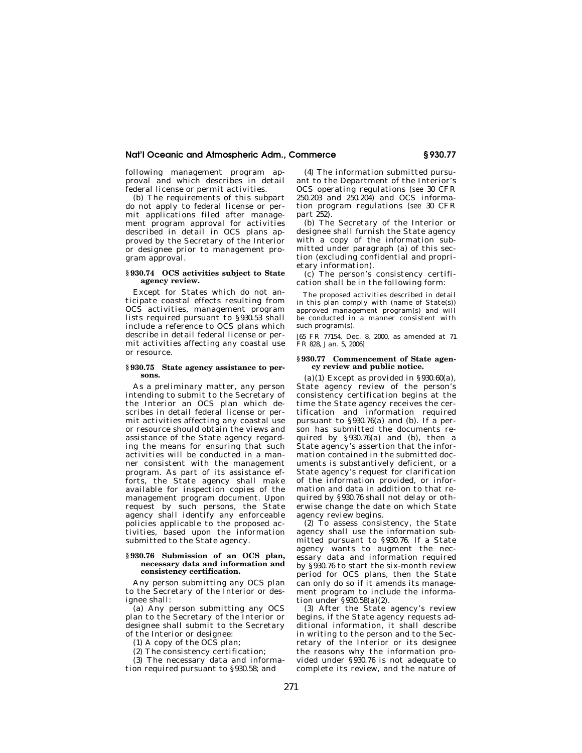following management program approval and which describes in detail federal license or permit activities.

(b) The requirements of this subpart do not apply to federal license or permit applications filed after management program approval for activities described in detail in OCS plans approved by the Secretary of the Interior or designee prior to management program approval.

#### **§ 930.74 OCS activities subject to State agency review.**

Except for States which do not anticipate coastal effects resulting from OCS activities, management program lists required pursuant to §930.53 shall include a reference to OCS plans which describe in detail federal license or permit activities affecting any coastal use or resource.

#### **§ 930.75 State agency assistance to persons.**

As a preliminary matter, any person intending to submit to the Secretary of the Interior an OCS plan which describes in detail federal license or permit activities affecting any coastal use or resource should obtain the views and assistance of the State agency regarding the means for ensuring that such activities will be conducted in a manner consistent with the management program. As part of its assistance efforts, the State agency shall make available for inspection copies of the management program document. Upon request by such persons, the State agency shall identify any enforceable policies applicable to the proposed activities, based upon the information submitted to the State agency.

#### **§ 930.76 Submission of an OCS plan, necessary data and information and consistency certification.**

Any person submitting any OCS plan to the Secretary of the Interior or designee shall:

(a) Any person submitting any OCS plan to the Secretary of the Interior or designee shall submit to the Secretary of the Interior or designee:

(1) A copy of the  $OC\bar{S}$  plan;

(2) The consistency certification;

(3) The necessary data and informa-

tion required pursuant to §930.58; and

(4) The information submitted pursuant to the Department of the Interior's OCS operating regulations (*see* 30 CFR 250.203 and 250.204) and OCS information program regulations (*see* 30 CFR part 252).

(b) The Secretary of the Interior or designee shall furnish the State agency with a copy of the information submitted under paragraph (a) of this section (excluding confidential and proprietary information).

(c) The person's consistency certification shall be in the following form:

The proposed activities described in detail in this plan comply with (name of State(s)) approved management program(s) and will be conducted in a manner consistent with such program(s).

[65 FR 77154, Dec. 8, 2000, as amended at 71 FR 828, Jan. 5, 2006]

#### **§ 930.77 Commencement of State agency review and public notice.**

(a)(1) Except as provided in  $\S 930.60(a)$ , State agency review of the person's consistency certification begins at the time the State agency receives the certification and information required pursuant to §930.76(a) and (b). If a person has submitted the documents required by §930.76(a) and (b), then a State agency's assertion that the information contained in the submitted documents is substantively deficient, or a State agency's request for clarification of the information provided, or information and data in addition to that required by §930.76 shall not delay or otherwise change the date on which State agency review begins.

(2) To assess consistency, the State agency shall use the information submitted pursuant to §930.76. If a State agency wants to augment the necessary data and information required by §930.76 to start the six-month review period for OCS plans, then the State can only do so if it amends its management program to include the information under §930.58(a)(2).

(3) After the State agency's review begins, if the State agency requests additional information, it shall describe in writing to the person and to the Secretary of the Interior or its designee the reasons why the information provided under §930.76 is not adequate to complete its review, and the nature of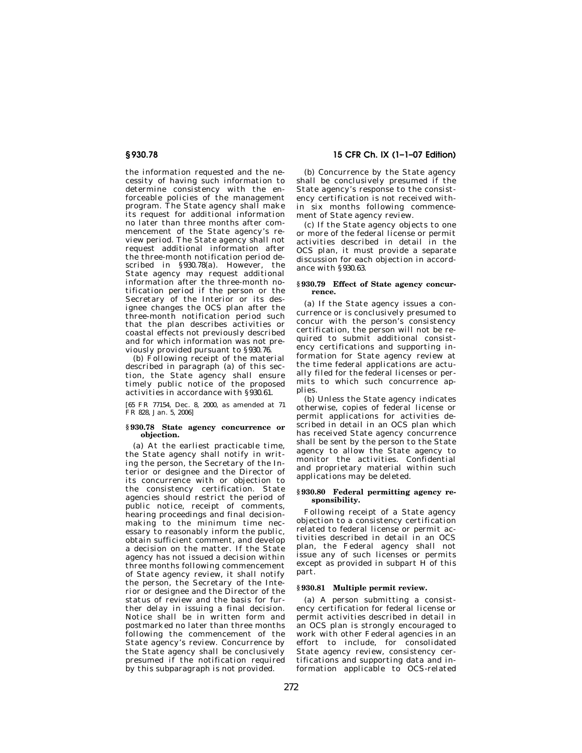the information requested and the necessity of having such information to determine consistency with the enforceable policies of the management program. The State agency shall make its request for additional information no later than three months after commencement of the State agency's review period. The State agency shall not request additional information after the three-month notification period described in §930.78(a). However, the State agency may request additional information after the three-month notification period if the person or the Secretary of the Interior or its designee changes the OCS plan after the three-month notification period such that the plan describes activities or coastal effects not previously described and for which information was not previously provided pursuant to §930.76.

(b) Following receipt of the material described in paragraph (a) of this section, the State agency shall ensure timely public notice of the proposed activities in accordance with §930.61.

[65 FR 77154, Dec. 8, 2000, as amended at 71 FR 828, Jan. 5, 2006]

#### **§ 930.78 State agency concurrence or objection.**

(a) At the earliest practicable time, the State agency shall notify in writing the person, the Secretary of the Interior or designee and the Director of its concurrence with or objection to the consistency certification. State agencies should restrict the period of public notice, receipt of comments, hearing proceedings and final decisionmaking to the minimum time necessary to reasonably inform the public, obtain sufficient comment, and develop a decision on the matter. If the State agency has not issued a decision within three months following commencement of State agency review, it shall notify the person, the Secretary of the Interior or designee and the Director of the status of review and the basis for further delay in issuing a final decision. Notice shall be in written form and postmarked no later than three months following the commencement of the State agency's review. Concurrence by the State agency shall be conclusively presumed if the notification required by this subparagraph is not provided.

**§ 930.78 15 CFR Ch. IX (1–1–07 Edition)** 

(b) Concurrence by the State agency shall be conclusively presumed if the State agency's response to the consistency certification is not received within six months following commencement of State agency review.

(c) If the State agency objects to one or more of the federal license or permit activities described in detail in the OCS plan, it must provide a separate discussion for each objection in accordance with §930.63.

#### **§ 930.79 Effect of State agency concurrence.**

(a) If the State agency issues a concurrence or is conclusively presumed to concur with the person's consistency certification, the person will not be required to submit additional consistency certifications and supporting information for State agency review at the time federal applications are actually filed for the federal licenses or permits to which such concurrence applies.

(b) Unless the State agency indicates otherwise, copies of federal license or permit applications for activities described in detail in an OCS plan which has received State agency concurrence shall be sent by the person to the State agency to allow the State agency to monitor the activities. Confidential and proprietary material within such applications may be deleted.

#### **§ 930.80 Federal permitting agency responsibility.**

Following receipt of a State agency objection to a consistency certification related to federal license or permit activities described in detail in an OCS plan, the Federal agency shall not issue any of such licenses or permits except as provided in subpart H of this part.

### **§ 930.81 Multiple permit review.**

(a) A person submitting a consistency certification for federal license or permit activities described in detail in an OCS plan is strongly encouraged to work with other Federal agencies in an effort to include, for consolidated State agency review, consistency certifications and supporting data and information applicable to OCS-related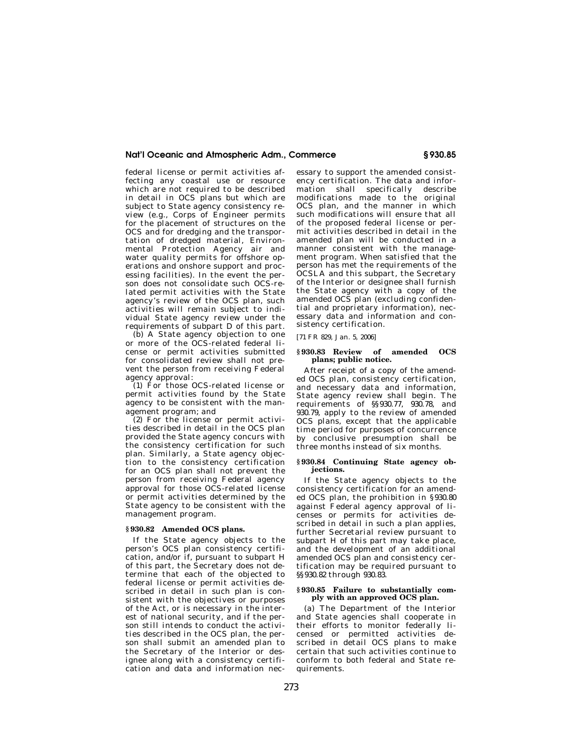federal license or permit activities affecting any coastal use or resource which are not required to be described in detail in OCS plans but which are subject to State agency consistency review (e.g., Corps of Engineer permits for the placement of structures on the OCS and for dredging and the transportation of dredged material, Environmental Protection Agency air and water quality permits for offshore operations and onshore support and processing facilities). In the event the person does not consolidate such OCS-related permit activities with the State agency's review of the OCS plan, such activities will remain subject to individual State agency review under the requirements of subpart D of this part.

(b) A State agency objection to one or more of the OCS-related federal license or permit activities submitted for consolidated review shall not prevent the person from receiving Federal agency approval:

(1) For those OCS-related license or permit activities found by the State agency to be consistent with the management program; and

(2) For the license or permit activities described in detail in the OCS plan provided the State agency concurs with the consistency certification for such plan. Similarly, a State agency objection to the consistency certification for an OCS plan shall not prevent the person from receiving Federal agency approval for those OCS-related license or permit activities determined by the State agency to be consistent with the management program.

# **§ 930.82 Amended OCS plans.**

If the State agency objects to the person's OCS plan consistency certification, and/or if, pursuant to subpart H of this part, the Secretary does not determine that each of the objected to federal license or permit activities described in detail in such plan is consistent with the objectives or purposes of the Act, or is necessary in the interest of national security, and if the person still intends to conduct the activities described in the OCS plan, the person shall submit an amended plan to the Secretary of the Interior or designee along with a consistency certification and data and information necessary to support the amended consistency certification. The data and information shall specifically describe modifications made to the original OCS plan, and the manner in which such modifications will ensure that all of the proposed federal license or permit activities described in detail in the amended plan will be conducted in a manner consistent with the management program. When satisfied that the person has met the requirements of the OCSLA and this subpart, the Secretary of the Interior or designee shall furnish the State agency with a copy of the amended OCS plan (excluding confidential and proprietary information), necessary data and information and consistency certification.

[71 FR 829, Jan. 5, 2006]

#### **§ 930.83 Review of amended OCS plans; public notice.**

After receipt of a copy of the amended OCS plan, consistency certification, and necessary data and information, State agency review shall begin. The requirements of §§930.77, 930.78, and 930.79, apply to the review of amended OCS plans, except that the applicable time period for purposes of concurrence by conclusive presumption shall be three months instead of six months.

#### **§ 930.84 Continuing State agency objections.**

If the State agency objects to the consistency certification for an amended OCS plan, the prohibition in §930.80 against Federal agency approval of licenses or permits for activities described in detail in such a plan applies, further Secretarial review pursuant to subpart H of this part may take place, and the development of an additional amended OCS plan and consistency certification may be required pursuant to §§930.82 through 930.83.

#### **§ 930.85 Failure to substantially comply with an approved OCS plan.**

(a) The Department of the Interior and State agencies shall cooperate in their efforts to monitor federally licensed or permitted activities described in detail OCS plans to make certain that such activities continue to conform to both federal and State requirements.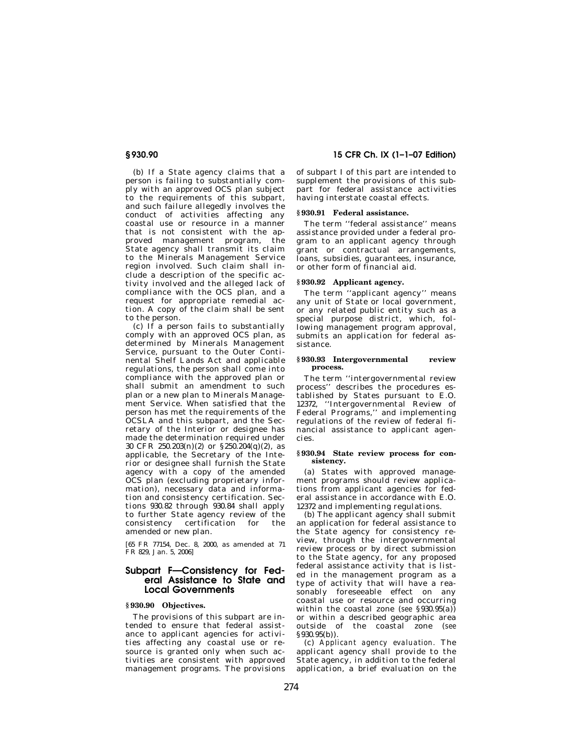(b) If a State agency claims that a person is failing to substantially comply with an approved OCS plan subject to the requirements of this subpart, and such failure allegedly involves the conduct of activities affecting any coastal use or resource in a manner that is not consistent with the approved management program, the State agency shall transmit its claim to the Minerals Management Service region involved. Such claim shall include a description of the specific activity involved and the alleged lack of compliance with the OCS plan, and a request for appropriate remedial action. A copy of the claim shall be sent to the person.

(c) If a person fails to substantially comply with an approved OCS plan, as determined by Minerals Management Service, pursuant to the Outer Continental Shelf Lands Act and applicable regulations, the person shall come into compliance with the approved plan or shall submit an amendment to such plan or a new plan to Minerals Management Service. When satisfied that the person has met the requirements of the OCSLA and this subpart, and the Secretary of the Interior or designee has made the determination required under 30 CFR 250.203(n)(2) or §250.204(q)(2), as applicable, the Secretary of the Interior or designee shall furnish the State agency with a copy of the amended OCS plan (excluding proprietary information), necessary data and information and consistency certification. Sections 930.82 through 930.84 shall apply to further State agency review of the consistency certification for the amended or new plan.

[65 FR 77154, Dec. 8, 2000, as amended at 71 FR 829, Jan. 5, 2006]

# **Subpart F—Consistency for Federal Assistance to State and Local Governments**

# **§ 930.90 Objectives.**

The provisions of this subpart are intended to ensure that federal assistance to applicant agencies for activities affecting any coastal use or resource is granted only when such activities are consistent with approved management programs. The provisions

# **§ 930.90 15 CFR Ch. IX (1–1–07 Edition)**

of subpart I of this part are intended to supplement the provisions of this subpart for federal assistance activities having interstate coastal effects.

# **§ 930.91 Federal assistance.**

The term ''federal assistance'' means assistance provided under a federal program to an applicant agency through grant or contractual arrangements, loans, subsidies, guarantees, insurance, or other form of financial aid.

#### **§ 930.92 Applicant agency.**

The term ''applicant agency'' means any unit of State or local government, or any related public entity such as a special purpose district, which, following management program approval, submits an application for federal assistance.

#### **§ 930.93 Intergovernmental review process.**

The term ''intergovernmental review process'' describes the procedures established by States pursuant to E.O. 12372, ''Intergovernmental Review of Federal Programs,'' and implementing regulations of the review of federal financial assistance to applicant agencies.

#### **§ 930.94 State review process for consistency.**

(a) States with approved management programs should review applications from applicant agencies for federal assistance in accordance with E.O. 12372 and implementing regulations.

(b) The applicant agency shall submit an application for federal assistance to the State agency for consistency review, through the intergovernmental review process or by direct submission to the State agency, for any proposed federal assistance activity that is listed in the management program as a type of activity that will have a reasonably foreseeable effect on any coastal use or resource and occurring within the coastal zone (*see* §930.95(a)) or within a described geographic area outside of the coastal zone (*see*  §930.95(b)).

(c) *Applicant agency evaluation.* The applicant agency shall provide to the State agency, in addition to the federal application, a brief evaluation on the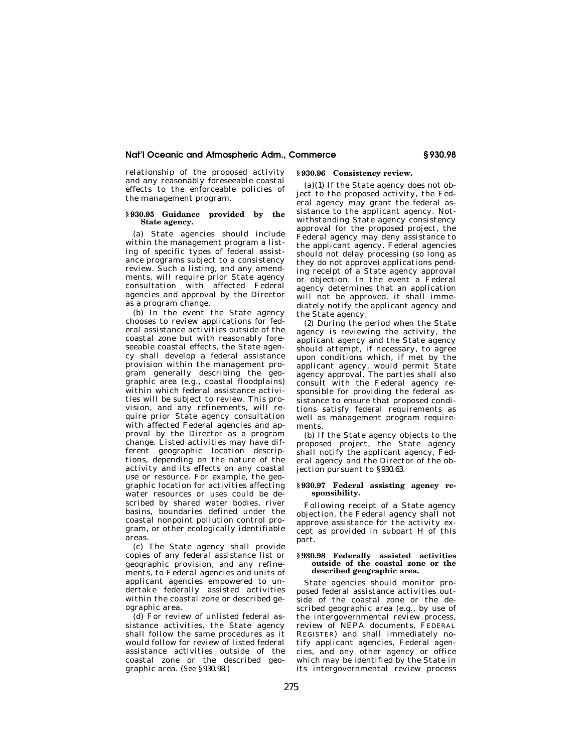relationship of the proposed activity and any reasonably foreseeable coastal effects to the enforceable policies of the management program.

#### **§ 930.95 Guidance provided by the State agency.**

(a) State agencies should include within the management program a listing of specific types of federal assistance programs subject to a consistency review. Such a listing, and any amendments, will require prior State agency consultation with affected Federal agencies and approval by the Director as a program change.

(b) In the event the State agency chooses to review applications for federal assistance activities outside of the coastal zone but with reasonably foreseeable coastal effects, the State agency shall develop a federal assistance provision within the management program generally describing the geographic area (e.g., coastal floodplains) within which federal assistance activities will be subject to review. This provision, and any refinements, will require prior State agency consultation with affected Federal agencies and approval by the Director as a program change. Listed activities may have different geographic location descriptions, depending on the nature of the activity and its effects on any coastal use or resource. For example, the geographic location for activities affecting water resources or uses could be described by shared water bodies, river basins, boundaries defined under the coastal nonpoint pollution control program, or other ecologically identifiable areas.

(c) The State agency shall provide copies of any federal assistance list or geographic provision, and any refinements, to Federal agencies and units of applicant agencies empowered to undertake federally assisted activities within the coastal zone or described geographic area.

(d) For review of unlisted federal assistance activities, the State agency shall follow the same procedures as it would follow for review of listed federal assistance activities outside of the coastal zone or the described geographic area. (*See* §930.98.)

# **§ 930.96 Consistency review.**

 $(a)(1)$  If the State agency does not object to the proposed activity, the Federal agency may grant the federal assistance to the applicant agency. Notwithstanding State agency consistency approval for the proposed project, the Federal agency may deny assistance to the applicant agency. Federal agencies should not delay processing (so long as they do not approve) applications pending receipt of a State agency approval or objection. In the event a Federal agency determines that an application will not be approved, it shall immediately notify the applicant agency and the State agency.

(2) During the period when the State agency is reviewing the activity, the applicant agency and the State agency should attempt, if necessary, to agree upon conditions which, if met by the applicant agency, would permit State agency approval. The parties shall also consult with the Federal agency responsible for providing the federal assistance to ensure that proposed conditions satisfy federal requirements as well as management program requirements.

(b) If the State agency objects to the proposed project, the State agency shall notify the applicant agency, Federal agency and the Director of the objection pursuant to §930.63.

#### **§ 930.97 Federal assisting agency responsibility.**

Following receipt of a State agency objection, the Federal agency shall not approve assistance for the activity except as provided in subpart H of this part.

#### **§ 930.98 Federally assisted activities outside of the coastal zone or the described geographic area.**

State agencies should monitor proposed federal assistance activities outside of the coastal zone or the described geographic area (e.g., by use of the intergovernmental review process, review of NEPA documents, FEDERAL REGISTER) and shall immediately notify applicant agencies, Federal agencies, and any other agency or office which may be identified by the State in its intergovernmental review process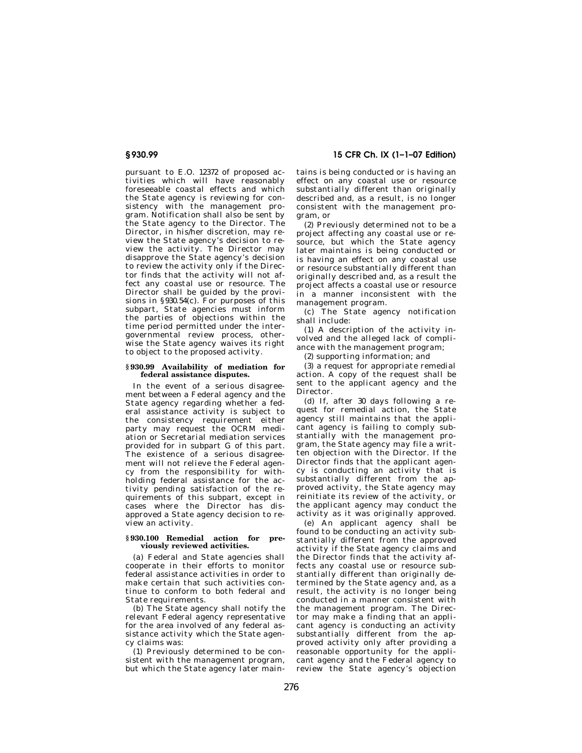pursuant to E.O. 12372 of proposed activities which will have reasonably foreseeable coastal effects and which the State agency is reviewing for consistency with the management program. Notification shall also be sent by the State agency to the Director. The Director, in his/her discretion, may review the State agency's decision to review the activity. The Director may disapprove the State agency's decision to review the activity only if the Director finds that the activity will not affect any coastal use or resource. The Director shall be guided by the provisions in §930.54(c). For purposes of this subpart, State agencies must inform the parties of objections within the time period permitted under the intergovernmental review process, otherwise the State agency waives its right to object to the proposed activity.

#### **§ 930.99 Availability of mediation for federal assistance disputes.**

In the event of a serious disagreement between a Federal agency and the State agency regarding whether a federal assistance activity is subject to the consistency requirement either party may request the OCRM mediation or Secretarial mediation services provided for in subpart G of this part. The existence of a serious disagreement will not relieve the Federal agency from the responsibility for withholding federal assistance for the activity pending satisfaction of the requirements of this subpart, except in cases where the Director has disapproved a State agency decision to review an activity.

#### **§ 930.100 Remedial action for previously reviewed activities.**

(a) Federal and State agencies shall cooperate in their efforts to monitor federal assistance activities in order to make certain that such activities continue to conform to both federal and State requirements.

(b) The State agency shall notify the relevant Federal agency representative for the area involved of any federal assistance activity which the State agency claims was:

(1) Previously determined to be consistent with the management program, but which the State agency later main-

**§ 930.99 15 CFR Ch. IX (1–1–07 Edition)** 

tains is being conducted or is having an effect on any coastal use or resource substantially different than originally described and, as a result, is no longer consistent with the management program, or

(2) Previously determined not to be a project affecting any coastal use or resource, but which the State agency later maintains is being conducted or is having an effect on any coastal use or resource substantially different than originally described and, as a result the project affects a coastal use or resource in a manner inconsistent with the management program.

(c) The State agency notification shall include:

(1) A description of the activity involved and the alleged lack of compliance with the management program;

(2) supporting information; and

(3) a request for appropriate remedial action. A copy of the request shall be sent to the applicant agency and the Director.

(d) If, after 30 days following a request for remedial action, the State agency still maintains that the applicant agency is failing to comply substantially with the management program, the State agency may file a written objection with the Director. If the Director finds that the applicant agency is conducting an activity that is substantially different from the approved activity, the State agency may reinitiate its review of the activity, or the applicant agency may conduct the activity as it was originally approved.

(e) An applicant agency shall be found to be conducting an activity substantially different from the approved activity if the State agency claims and the Director finds that the activity affects any coastal use or resource substantially different than originally determined by the State agency and, as a result, the activity is no longer being conducted in a manner consistent with the management program. The Director may make a finding that an applicant agency is conducting an activity substantially different from the approved activity only after providing a reasonable opportunity for the applicant agency and the Federal agency to review the State agency's objection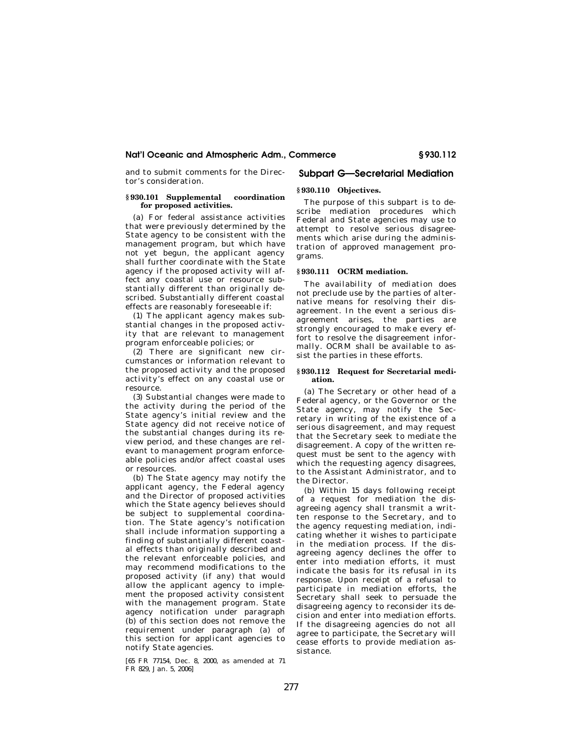and to submit comments for the Director's consideration.

#### **§ 930.101 Supplemental coordination for proposed activities.**

(a) For federal assistance activities that were previously determined by the State agency to be consistent with the management program, but which have not yet begun, the applicant agency shall further coordinate with the State agency if the proposed activity will affect any coastal use or resource substantially different than originally described. Substantially different coastal effects are reasonably foreseeable if:

(1) The applicant agency makes substantial changes in the proposed activity that are relevant to management program enforceable policies; or

(2) There are significant new circumstances or information relevant to the proposed activity and the proposed activity's effect on any coastal use or resource.

(3) Substantial changes were made to the activity during the period of the State agency's initial review and the State agency did not receive notice of the substantial changes during its review period, and these changes are relevant to management program enforceable policies and/or affect coastal uses or resources.

(b) The State agency may notify the applicant agency, the Federal agency and the Director of proposed activities which the State agency believes should be subject to supplemental coordination. The State agency's notification shall include information supporting a finding of substantially different coastal effects than originally described and the relevant enforceable policies, and may recommend modifications to the proposed activity (if any) that would allow the applicant agency to implement the proposed activity consistent with the management program. State agency notification under paragraph (b) of this section does not remove the requirement under paragraph (a) of this section for applicant agencies to notify State agencies.

[65 FR 77154, Dec. 8, 2000, as amended at 71 FR 829, Jan. 5, 2006]

# **Subpart G—Secretarial Mediation**

# **§ 930.110 Objectives.**

The purpose of this subpart is to describe mediation procedures which Federal and State agencies may use to attempt to resolve serious disagreements which arise during the administration of approved management programs.

# **§ 930.111 OCRM mediation.**

The availability of mediation does not preclude use by the parties of alternative means for resolving their disagreement. In the event a serious disagreement arises, the parties are strongly encouraged to make every effort to resolve the disagreement informally. OCRM shall be available to assist the parties in these efforts.

#### **§ 930.112 Request for Secretarial mediation.**

(a) The Secretary or other head of a Federal agency, or the Governor or the State agency, may notify the Secretary in writing of the existence of a serious disagreement, and may request that the Secretary seek to mediate the disagreement. A copy of the written request must be sent to the agency with which the requesting agency disagrees, to the Assistant Administrator, and to the Director.

(b) Within 15 days following receipt of a request for mediation the disagreeing agency shall transmit a written response to the Secretary, and to the agency requesting mediation, indicating whether it wishes to participate in the mediation process. If the disagreeing agency declines the offer to enter into mediation efforts, it must indicate the basis for its refusal in its response. Upon receipt of a refusal to participate in mediation efforts, the Secretary shall seek to persuade the disagreeing agency to reconsider its decision and enter into mediation efforts. If the disagreeing agencies do not all agree to participate, the Secretary will cease efforts to provide mediation assistance.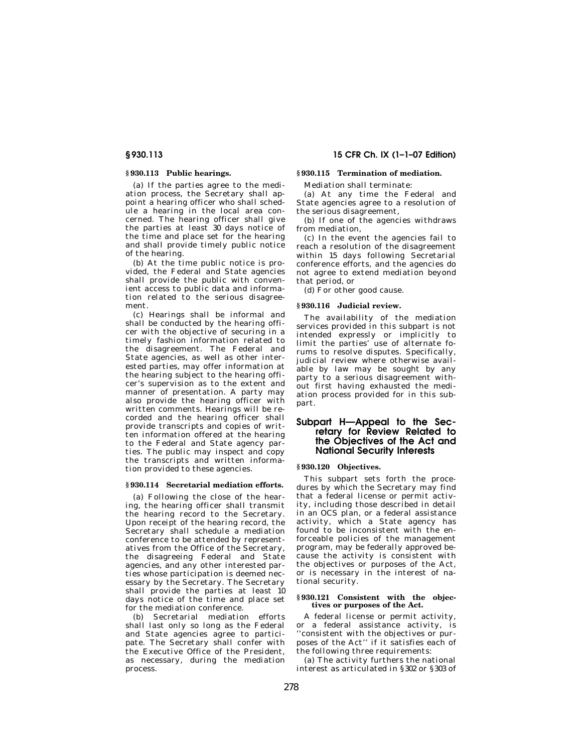### **§ 930.113 Public hearings.**

(a) If the parties agree to the mediation process, the Secretary shall appoint a hearing officer who shall schedule a hearing in the local area concerned. The hearing officer shall give the parties at least 30 days notice of the time and place set for the hearing and shall provide timely public notice of the hearing.

(b) At the time public notice is provided, the Federal and State agencies shall provide the public with convenient access to public data and information related to the serious disagreement.

(c) Hearings shall be informal and shall be conducted by the hearing officer with the objective of securing in a timely fashion information related to the disagreement. The Federal and State agencies, as well as other interested parties, may offer information at the hearing subject to the hearing officer's supervision as to the extent and manner of presentation. A party may also provide the hearing officer with written comments. Hearings will be recorded and the hearing officer shall provide transcripts and copies of written information offered at the hearing to the Federal and State agency parties. The public may inspect and copy the transcripts and written information provided to these agencies.

### **§ 930.114 Secretarial mediation efforts.**

(a) Following the close of the hearing, the hearing officer shall transmit the hearing record to the Secretary. Upon receipt of the hearing record, the Secretary shall schedule a mediation conference to be attended by representatives from the Office of the Secretary, the disagreeing Federal and State agencies, and any other interested parties whose participation is deemed necessary by the Secretary. The Secretary shall provide the parties at least 10 days notice of the time and place set for the mediation conference.

(b) Secretarial mediation efforts shall last only so long as the Federal and State agencies agree to participate. The Secretary shall confer with the Executive Office of the President, as necessary, during the mediation process.

# **§ 930.113 15 CFR Ch. IX (1–1–07 Edition)**

# **§ 930.115 Termination of mediation.**

Mediation shall terminate:

(a) At any time the Federal and State agencies agree to a resolution of the serious disagreement,

(b) If one of the agencies withdraws from mediation,

(c) In the event the agencies fail to reach a resolution of the disagreement within 15 days following Secretarial conference efforts, and the agencies do not agree to extend mediation beyond that period, or

(d) For other good cause.

#### **§ 930.116 Judicial review.**

The availability of the mediation services provided in this subpart is not intended expressly or implicitly to limit the parties' use of alternate forums to resolve disputes. Specifically, judicial review where otherwise available by law may be sought by any party to a serious disagreement without first having exhausted the mediation process provided for in this subpart.

# **Subpart H—Appeal to the Secretary for Review Related to the Objectives of the Act and National Security Interests**

#### **§ 930.120 Objectives.**

This subpart sets forth the procedures by which the Secretary may find that a federal license or permit activity, including those described in detail in an OCS plan, or a federal assistance activity, which a State agency has found to be inconsistent with the enforceable policies of the management program, may be federally approved because the activity is consistent with the objectives or purposes of the Act, or is necessary in the interest of national security.

#### **§ 930.121 Consistent with the objectives or purposes of the Act.**

A federal license or permit activity, or a federal assistance activity, is ''consistent with the objectives or purposes of the Act'' if it satisfies each of the following three requirements:

(a) The activity furthers the national interest as articulated in §302 or §303 of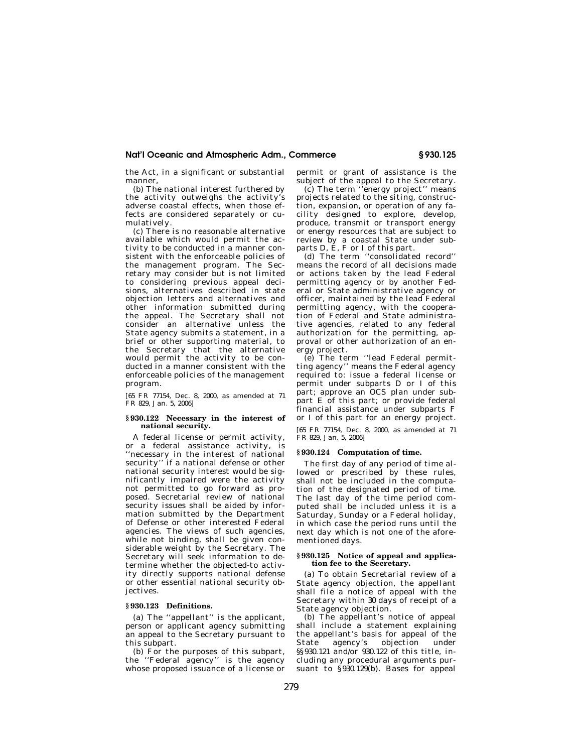the Act, in a significant or substantial manner,

(b) The national interest furthered by the activity outweighs the activity's adverse coastal effects, when those effects are considered separately or cumulatively.

(c) There is no reasonable alternative available which would permit the activity to be conducted in a manner consistent with the enforceable policies of the management program. The Secretary may consider but is not limited to considering previous appeal decisions, alternatives described in state objection letters and alternatives and other information submitted during the appeal. The Secretary shall not consider an alternative unless the State agency submits a statement, in a brief or other supporting material, to the Secretary that the alternative would permit the activity to be conducted in a manner consistent with the enforceable policies of the management program.

[65 FR 77154, Dec. 8, 2000, as amended at 71 FR 829, Jan. 5, 2006]

#### **§ 930.122 Necessary in the interest of national security.**

A federal license or permit activity, or a federal assistance activity, is ''necessary in the interest of national security'' if a national defense or other national security interest would be significantly impaired were the activity not permitted to go forward as proposed. Secretarial review of national security issues shall be aided by information submitted by the Department of Defense or other interested Federal agencies. The views of such agencies, while not binding, shall be given considerable weight by the Secretary. The Secretary will seek information to determine whether the objected-to activity directly supports national defense or other essential national security objectives.

#### **§ 930.123 Definitions.**

(a) The ''appellant'' is the applicant, person or applicant agency submitting an appeal to the Secretary pursuant to this subpart.

(b) For the purposes of this subpart, the ''Federal agency'' is the agency whose proposed issuance of a license or permit or grant of assistance is the subject of the appeal to the Secretary.

(c) The term ''energy project'' means projects related to the siting, construction, expansion, or operation of any facility designed to explore, develop, produce, transmit or transport energy or energy resources that are subject to review by a coastal State under subparts D, E, F or I of this part.

(d) The term ''consolidated record'' means the record of all decisions made or actions taken by the lead Federal permitting agency or by another Federal or State administrative agency or officer, maintained by the lead Federal permitting agency, with the cooperation of Federal and State administrative agencies, related to any federal authorization for the permitting, approval or other authorization of an energy project.

(e) The term ''lead Federal permitting agency'' means the Federal agency required to: issue a federal license or permit under subparts D or I of this part; approve an OCS plan under subpart E of this part; or provide federal financial assistance under subparts F or I of this part for an energy project.

[65 FR 77154, Dec. 8, 2000, as amended at 71 FR 829, Jan. 5, 2006]

# **§ 930.124 Computation of time.**

The first day of any period of time allowed or prescribed by these rules, shall not be included in the computation of the designated period of time. The last day of the time period computed shall be included unless it is a Saturday, Sunday or a Federal holiday, in which case the period runs until the next day which is not one of the aforementioned days.

#### **§ 930.125 Notice of appeal and application fee to the Secretary.**

(a) To obtain Secretarial review of a State agency objection, the appellant shall file a notice of appeal with the Secretary within 30 days of receipt of a State agency objection.

(b) The appellant's notice of appeal shall include a statement explaining the appellant's basis for appeal of the agency's objection §§930.121 and/or 930.122 of this title. including any procedural arguments pursuant to §930.129(b). Bases for appeal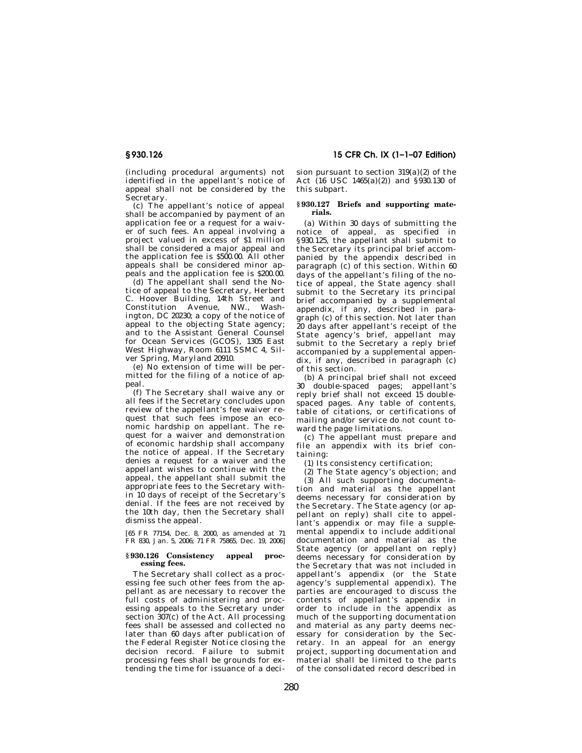(including procedural arguments) not identified in the appellant's notice of appeal shall not be considered by the Secretary.

(c) The appellant's notice of appeal shall be accompanied by payment of an application fee or a request for a waiver of such fees. An appeal involving a project valued in excess of \$1 million shall be considered a major appeal and the application fee is \$500.00. All other appeals shall be considered minor appeals and the application fee is \$200.00.

(d) The appellant shall send the Notice of appeal to the Secretary, Herbert C. Hoover Building, 14th Street and Constitution Avenue, NW., Washington, DC 20230; a copy of the notice of appeal to the objecting State agency; and to the Assistant General Counsel for Ocean Services (GCOS), 1305 East West Highway, Room 6111 SSMC 4, Silver Spring, Maryland 20910.

(e) No extension of time will be permitted for the filing of a notice of appeal.

(f) The Secretary shall waive any or all fees if the Secretary concludes upon review of the appellant's fee waiver request that such fees impose an economic hardship on appellant. The request for a waiver and demonstration of economic hardship shall accompany the notice of appeal. If the Secretary denies a request for a waiver and the appellant wishes to continue with the appeal, the appellant shall submit the appropriate fees to the Secretary within 10 days of receipt of the Secretary's denial. If the fees are not received by the 10th day, then the Secretary shall dismiss the appeal.

[65 FR 77154, Dec. 8, 2000, as amended at 71 FR 830, Jan. 5, 2006; 71 FR 75865, Dec. 19, 2006]

#### **§ 930.126 Consistency appeal processing fees.**

The Secretary shall collect as a processing fee such other fees from the appellant as are necessary to recover the full costs of administering and processing appeals to the Secretary under section  $307(c)$  of the Act. All processing fees shall be assessed and collected no later than 60 days after publication of the Federal Register Notice closing the decision record. Failure to submit processing fees shall be grounds for extending the time for issuance of a deci-

# **§ 930.126 15 CFR Ch. IX (1–1–07 Edition)**

sion pursuant to section 319(a)(2) of the Act (16 USC 1465(a)(2)) and §930.130 of this subpart.

#### **§ 930.127 Briefs and supporting materials.**

(a) Within 30 days of submitting the notice of appeal, as specified in §930.125, the appellant shall submit to the Secretary its principal brief accompanied by the appendix described in paragraph (c) of this section. Within 60 days of the appellant's filing of the notice of appeal, the State agency shall submit to the Secretary its principal brief accompanied by a supplemental appendix, if any, described in paragraph (c) of this section. Not later than 20 days after appellant's receipt of the State agency's brief, appellant may submit to the Secretary a reply brief accompanied by a supplemental appendix, if any, described in paragraph (c) of this section.

(b) A principal brief shall not exceed 30 double-spaced pages; appellant's reply brief shall not exceed 15 doublespaced pages. Any table of contents, table of citations, or certifications of mailing and/or service do not count toward the page limitations.

(c) The appellant must prepare and file an appendix with its brief containing:

(1) Its consistency certification;

(2) The State agency's objection; and

(3) All such supporting documentation and material as the appellant deems necessary for consideration by the Secretary. The State agency (or appellant on reply) shall cite to appellant's appendix or may file a supplemental appendix to include additional documentation and material as the State agency (or appellant on reply) deems necessary for consideration by the Secretary that was not included in appellant's appendix (or the State agency's supplemental appendix). The parties are encouraged to discuss the contents of appellant's appendix in order to include in the appendix as much of the supporting documentation and material as any party deems necessary for consideration by the Secretary. In an appeal for an energy project, supporting documentation and material shall be limited to the parts of the consolidated record described in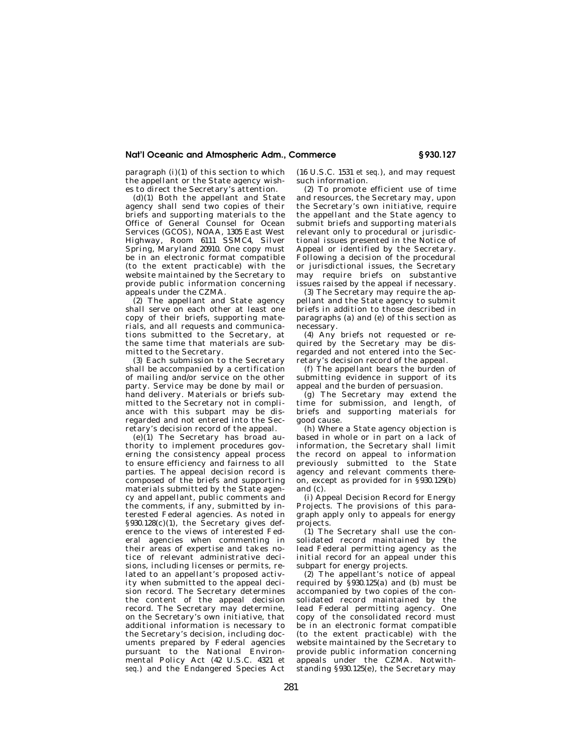paragraph (i)(1) of this section to which the appellant or the State agency wishes to direct the Secretary's attention.

 $(d)(1)$  Both the appellant and State agency shall send two copies of their briefs and supporting materials to the Office of General Counsel for Ocean Services (GCOS), NOAA, 1305 East West Highway, Room 6111 SSMC4, Silver Spring, Maryland 20910. One copy must be in an electronic format compatible (to the extent practicable) with the website maintained by the Secretary to provide public information concerning appeals under the CZMA.

(2) The appellant and State agency shall serve on each other at least one copy of their briefs, supporting materials, and all requests and communications submitted to the Secretary, at the same time that materials are submitted to the Secretary.

(3) Each submission to the Secretary shall be accompanied by a certification of mailing and/or service on the other party. Service may be done by mail or hand delivery. Materials or briefs submitted to the Secretary not in compliance with this subpart may be disregarded and not entered into the Secretary's decision record of the appeal.

(e)(1) The Secretary has broad authority to implement procedures governing the consistency appeal process to ensure efficiency and fairness to all parties. The appeal decision record is composed of the briefs and supporting materials submitted by the State agency and appellant, public comments and the comments, if any, submitted by interested Federal agencies. As noted in §930.128(c)(1), the Secretary gives deference to the views of interested Federal agencies when commenting in their areas of expertise and takes notice of relevant administrative decisions, including licenses or permits, related to an appellant's proposed activity when submitted to the appeal decision record. The Secretary determines the content of the appeal decision record. The Secretary may determine, on the Secretary's own initiative, that additional information is necessary to the Secretary's decision, including documents prepared by Federal agencies pursuant to the National Environmental Policy Act (42 U.S.C. 4321 *et seq.*) and the Endangered Species Act

(16 U.S.C. 1531 *et seq.*), and may request such information.

(2) To promote efficient use of time and resources, the Secretary may, upon the Secretary's own initiative, require the appellant and the State agency to submit briefs and supporting materials relevant only to procedural or jurisdictional issues presented in the Notice of Appeal or identified by the Secretary. Following a decision of the procedural or jurisdictional issues, the Secretary may require briefs on substantive issues raised by the appeal if necessary.

(3) The Secretary may require the appellant and the State agency to submit briefs in addition to those described in paragraphs (a) and (e) of this section as necessary.

(4) Any briefs not requested or required by the Secretary may be disregarded and not entered into the Secretary's decision record of the appeal.

(f) The appellant bears the burden of submitting evidence in support of its appeal and the burden of persuasion.

(g) The Secretary may extend the time for submission, and length, of briefs and supporting materials for good cause.

(h) Where a State agency objection is based in whole or in part on a lack of information, the Secretary shall limit the record on appeal to information previously submitted to the State agency and relevant comments thereon, except as provided for in §930.129(b) and (c).

(i) Appeal Decision Record for Energy Projects. The provisions of this paragraph apply only to appeals for energy projects.

(1) The Secretary shall use the consolidated record maintained by the lead Federal permitting agency as the initial record for an appeal under this subpart for energy projects.

(2) The appellant's notice of appeal required by  $\hat{\S}$ 930.125(a) and (b) must be accompanied by two copies of the consolidated record maintained by the lead Federal permitting agency. One copy of the consolidated record must be in an electronic format compatible (to the extent practicable) with the website maintained by the Secretary to provide public information concerning appeals under the CZMA. Notwithstanding §930.125(e), the Secretary may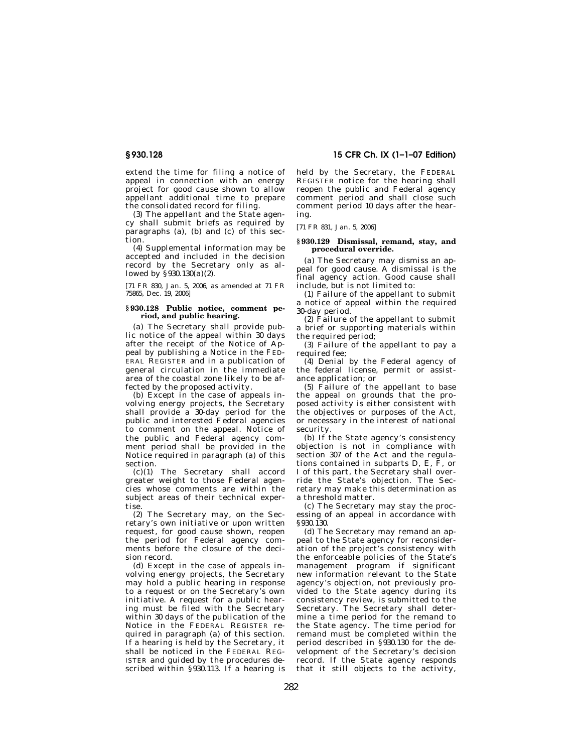extend the time for filing a notice of appeal in connection with an energy project for good cause shown to allow appellant additional time to prepare the consolidated record for filing.

(3) The appellant and the State agency shall submit briefs as required by paragraphs (a), (b) and (c) of this section.

(4) Supplemental information may be accepted and included in the decision record by the Secretary only as allowed by  $\S 930.130(a)(2)$ .

[71 FR 830, Jan. 5, 2006, as amended at 71 FR 75865, Dec. 19, 2006]

#### **§ 930.128 Public notice, comment period, and public hearing.**

(a) The Secretary shall provide public notice of the appeal within 30 days after the receipt of the Notice of Appeal by publishing a Notice in the FED-ERAL REGISTER and in a publication of general circulation in the immediate area of the coastal zone likely to be affected by the proposed activity.

(b) Except in the case of appeals involving energy projects, the Secretary shall provide a 30-day period for the public and interested Federal agencies to comment on the appeal. Notice of the public and Federal agency comment period shall be provided in the Notice required in paragraph (a) of this section.

(c)(1) The Secretary shall accord greater weight to those Federal agencies whose comments are within the subject areas of their technical expertise.

(2) The Secretary may, on the Secretary's own initiative or upon written request, for good cause shown, reopen the period for Federal agency comments before the closure of the decision record.

(d) Except in the case of appeals involving energy projects, the Secretary may hold a public hearing in response to a request or on the Secretary's own initiative. A request for a public hearing must be filed with the Secretary within 30 days of the publication of the Notice in the FEDERAL REGISTER required in paragraph (a) of this section. If a hearing is held by the Secretary, it shall be noticed in the FEDERAL REG-ISTER and guided by the procedures described within §930.113. If a hearing is

# **§ 930.128 15 CFR Ch. IX (1–1–07 Edition)**

held by the Secretary, the FEDERAL REGISTER notice for the hearing shall reopen the public and Federal agency comment period and shall close such comment period 10 days after the hearing.

[71 FR 831, Jan. 5, 2006]

#### **§ 930.129 Dismissal, remand, stay, and procedural override.**

(a) The Secretary may dismiss an appeal for good cause. A dismissal is the final agency action. Good cause shall include, but is not limited to:

(1) Failure of the appellant to submit a notice of appeal within the required 30-day period.

(2) Failure of the appellant to submit a brief or supporting materials within the required period;

(3) Failure of the appellant to pay a required fee;

(4) Denial by the Federal agency of the federal license, permit or assistance application; or

 $(5)$  Failure of the appellant to base the appeal on grounds that the proposed activity is either consistent with the objectives or purposes of the Act, or necessary in the interest of national security.

(b) If the State agency's consistency objection is not in compliance with section 307 of the Act and the regulations contained in subparts D, E, F, or I of this part, the Secretary shall override the State's objection. The Secretary may make this determination as a threshold matter.

(c) The Secretary may stay the processing of an appeal in accordance with §930.130.

(d) The Secretary may remand an appeal to the State agency for reconsideration of the project's consistency with the enforceable policies of the State's management program if significant new information relevant to the State agency's objection, not previously provided to the State agency during its consistency review, is submitted to the Secretary. The Secretary shall determine a time period for the remand to the State agency. The time period for remand must be completed within the period described in  $\S$ 930.130 for the development of the Secretary's decision record. If the State agency responds that it still objects to the activity,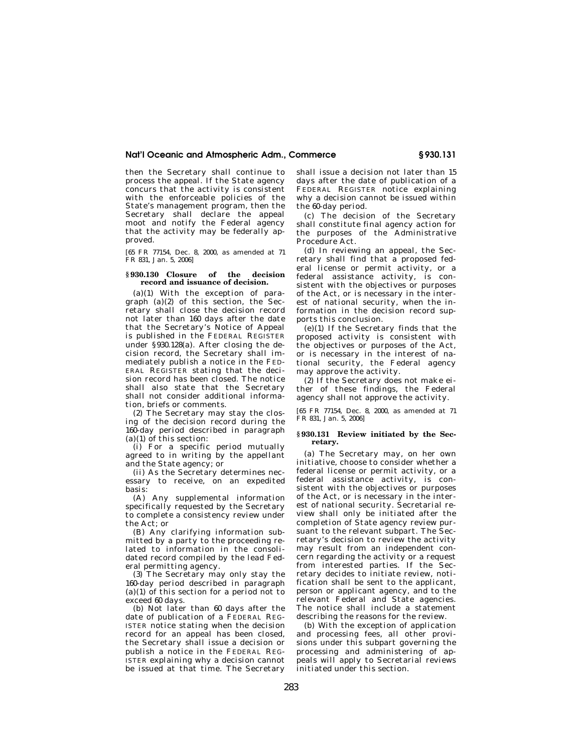then the Secretary shall continue to process the appeal. If the State agency concurs that the activity is consistent with the enforceable policies of the State's management program, then the Secretary shall declare the appeal moot and notify the Federal agency that the activity may be federally approved.

[65 FR 77154, Dec. 8, 2000, as amended at 71 FR 831, Jan. 5, 2006]

# **§ 930.130 Closure of the decision record and issuance of decision.**

(a)(1) With the exception of paragraph  $(a)(2)$  of this section, the Secretary shall close the decision record not later than 160 days after the date that the Secretary's Notice of Appeal is published in the FEDERAL REGISTER under §930.128(a). After closing the decision record, the Secretary shall immediately publish a notice in the FED-ERAL REGISTER stating that the decision record has been closed. The notice shall also state that the Secretary shall not consider additional information, briefs or comments.

(2) The Secretary may stay the closing of the decision record during the 160-day period described in paragraph  $(a)(1)$  of this section:

(i) For a specific period mutually agreed to in writing by the appellant and the State agency; or

(ii) As the Secretary determines necessary to receive, on an expedited basis:

(A) Any supplemental information specifically requested by the Secretary to complete a consistency review under the Act; or

(B) Any clarifying information submitted by a party to the proceeding related to information in the consolidated record compiled by the lead Federal permitting agency.

(3) The Secretary may only stay the 160-day period described in paragraph  $(a)(1)$  of this section for a period not to exceed 60 days.

(b) Not later than 60 days after the date of publication of a FEDERAL REG-ISTER notice stating when the decision record for an appeal has been closed, the Secretary shall issue a decision or publish a notice in the FEDERAL REG-ISTER explaining why a decision cannot be issued at that time. The Secretary shall issue a decision not later than 15 days after the date of publication of a FEDERAL REGISTER notice explaining why a decision cannot be issued within the 60-day period.

(c) The decision of the Secretary shall constitute final agency action for the purposes of the Administrative Procedure Act.

(d) In reviewing an appeal, the Secretary shall find that a proposed federal license or permit activity, or a federal assistance activity, is consistent with the objectives or purposes of the Act, or is necessary in the interest of national security, when the information in the decision record supports this conclusion.

(e)(1) If the Secretary finds that the proposed activity is consistent with the objectives or purposes of the Act, or is necessary in the interest of national security, the Federal agency may approve the activity.

(2) If the Secretary does not make either of these findings, the Federal agency shall not approve the activity.

[65 FR 77154, Dec. 8, 2000, as amended at 71 FR 831, Jan. 5, 2006]

#### **§ 930.131 Review initiated by the Secretary.**

(a) The Secretary may, on her own initiative, choose to consider whether a federal license or permit activity, or a federal assistance activity, is consistent with the objectives or purposes of the Act, or is necessary in the interest of national security. Secretarial review shall only be initiated after the completion of State agency review pursuant to the relevant subpart. The Secretary's decision to review the activity may result from an independent concern regarding the activity or a request from interested parties. If the Secretary decides to initiate review, notification shall be sent to the applicant, person or applicant agency, and to the relevant Federal and State agencies. The notice shall include a statement describing the reasons for the review.

(b) With the exception of application and processing fees, all other provisions under this subpart governing the processing and administering of appeals will apply to Secretarial reviews initiated under this section.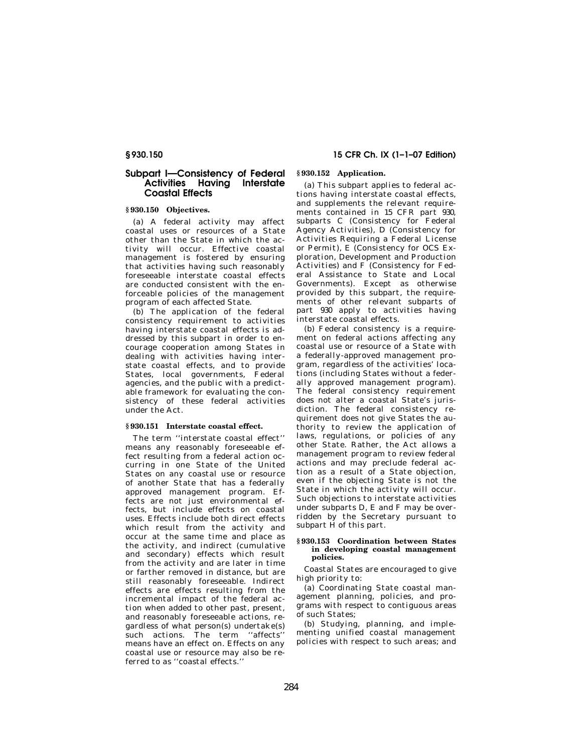# **Subpart I—Consistency of Federal Activities Having Interstate Coastal Effects**

# **§ 930.150 Objectives.**

(a) A federal activity may affect coastal uses or resources of a State other than the State in which the activity will occur. Effective coastal management is fostered by ensuring that activities having such reasonably foreseeable interstate coastal effects are conducted consistent with the enforceable policies of the management program of each affected State.

(b) The application of the federal consistency requirement to activities having interstate coastal effects is addressed by this subpart in order to encourage cooperation among States in dealing with activities having interstate coastal effects, and to provide States, local governments, Federal agencies, and the public with a predictable framework for evaluating the consistency of these federal activities under the Act.

#### **§ 930.151 Interstate coastal effect.**

The term ''interstate coastal effect'' means any reasonably foreseeable effect resulting from a federal action occurring in one State of the United States on any coastal use or resource of another State that has a federally approved management program. Effects are not just environmental effects, but include effects on coastal uses. Effects include both direct effects which result from the activity and occur at the same time and place as the activity, and indirect (cumulative and secondary) effects which result from the activity and are later in time or farther removed in distance, but are still reasonably foreseeable. Indirect effects are effects resulting from the incremental impact of the federal action when added to other past, present, and reasonably foreseeable actions, regardless of what person(s) undertake(s) such actions. The term ''affects'' means have an effect on. Effects on any coastal use or resource may also be referred to as ''coastal effects.''

# **§ 930.150 15 CFR Ch. IX (1–1–07 Edition)**

# **§ 930.152 Application.**

(a) This subpart applies to federal actions having interstate coastal effects, and supplements the relevant requirements contained in 15 CFR part 930, subparts C (Consistency for Federal Agency Activities), D (Consistency for Activities Requiring a Federal License or Permit), E (Consistency for OCS Exploration, Development and Production Activities) and F (Consistency for Federal Assistance to State and Local Governments). Except as otherwise provided by this subpart, the requirements of other relevant subparts of part 930 apply to activities having interstate coastal effects.

(b) Federal consistency is a requirement on federal actions affecting any coastal use or resource of a State with a federally-approved management program, regardless of the activities' locations (including States without a federally approved management program). The federal consistency requirement does not alter a coastal State's jurisdiction. The federal consistency requirement does not give States the authority to review the application of laws, regulations, or policies of any other State. Rather, the Act allows a management program to review federal actions and may preclude federal action as a result of a State objection, even if the objecting State is not the State in which the activity will occur. Such objections to interstate activities under subparts D, E and F may be overridden by the Secretary pursuant to subpart H of this part.

#### **§ 930.153 Coordination between States in developing coastal management policies.**

Coastal States are encouraged to give high priority to:

(a) Coordinating State coastal management planning, policies, and programs with respect to contiguous areas of such States;

(b) Studying, planning, and implementing unified coastal management policies with respect to such areas; and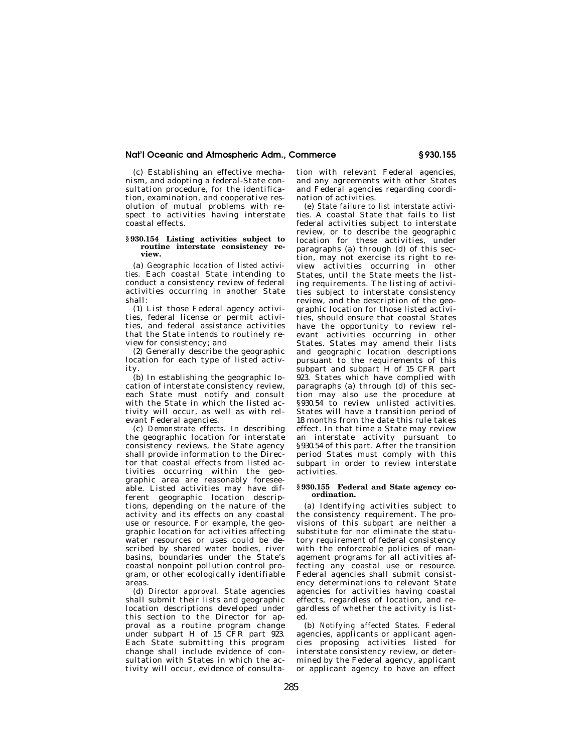(c) Establishing an effective mechanism, and adopting a federal-State consultation procedure, for the identification, examination, and cooperative resolution of mutual problems with respect to activities having interstate coastal effects.

#### **§ 930.154 Listing activities subject to routine interstate consistency review.**

(a) *Geographic location of listed activities.* Each coastal State intending to conduct a consistency review of federal activities occurring in another State shall:

(1) List those Federal agency activities, federal license or permit activities, and federal assistance activities that the State intends to routinely review for consistency; and

(2) Generally describe the geographic location for each type of listed activity.

(b) In establishing the geographic location of interstate consistency review, each State must notify and consult with the State in which the listed activity will occur, as well as with relevant Federal agencies.

(c) *Demonstrate effects.* In describing the geographic location for interstate consistency reviews, the State agency shall provide information to the Director that coastal effects from listed activities occurring within the geographic area are reasonably foreseeable. Listed activities may have different geographic location descriptions, depending on the nature of the activity and its effects on any coastal use or resource. For example, the geographic location for activities affecting water resources or uses could be described by shared water bodies, river basins, boundaries under the State's coastal nonpoint pollution control program, or other ecologically identifiable areas.

(d) *Director approval.* State agencies shall submit their lists and geographic location descriptions developed under this section to the Director for approval as a routine program change under subpart H of 15 CFR part 923. Each State submitting this program change shall include evidence of consultation with States in which the activity will occur, evidence of consulta-

tion with relevant Federal agencies, and any agreements with other States and Federal agencies regarding coordination of activities.

(e) *State failure to list interstate activities.* A coastal State that fails to list federal activities subject to interstate review, or to describe the geographic location for these activities, under paragraphs (a) through (d) of this section, may not exercise its right to review activities occurring in other States, until the State meets the listing requirements. The listing of activities subject to interstate consistency review, and the description of the geographic location for those listed activities, should ensure that coastal States have the opportunity to review relevant activities occurring in other States. States may amend their lists and geographic location descriptions pursuant to the requirements of this subpart and subpart H of 15 CFR part 923. States which have complied with paragraphs (a) through (d) of this section may also use the procedure at §930.54 to review unlisted activities. States will have a transition period of 18 months from the date this rule takes effect. In that time a State may review an interstate activity pursuant to §930.54 of this part. After the transition period States must comply with this subpart in order to review interstate activities.

#### **§ 930.155 Federal and State agency coordination.**

(a) Identifying activities subject to the consistency requirement. The provisions of this subpart are neither a substitute for nor eliminate the statutory requirement of federal consistency with the enforceable policies of management programs for all activities affecting any coastal use or resource. Federal agencies shall submit consistency determinations to relevant State agencies for activities having coastal effects, regardless of location, and regardless of whether the activity is listed.

(b) *Notifying affected States.* Federal agencies, applicants or applicant agencies proposing activities listed for interstate consistency review, or determined by the Federal agency, applicant or applicant agency to have an effect